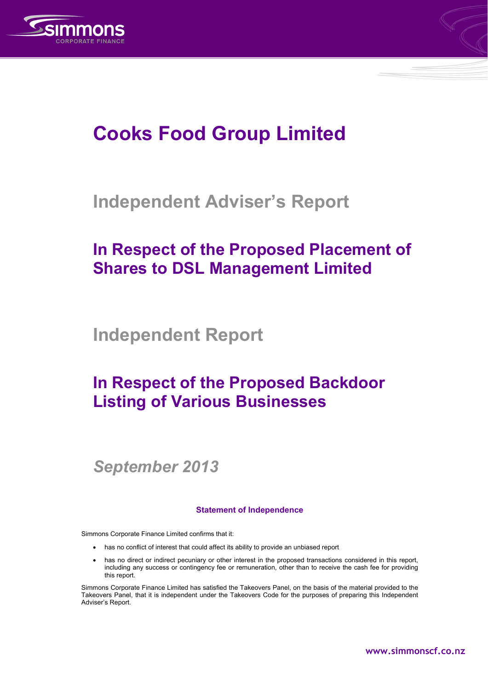



# **Cooks Food Group Limited**

# **Independent Adviser's Report**

# **In Respect of the Proposed Placement of Shares to DSL Management Limited**

**Independent Report** 

# **In Respect of the Proposed Backdoor Listing of Various Businesses**

*September 2013* 

## **Statement of Independence**

Simmons Corporate Finance Limited confirms that it:

- has no conflict of interest that could affect its ability to provide an unbiased report
- has no direct or indirect pecuniary or other interest in the proposed transactions considered in this report, including any success or contingency fee or remuneration, other than to receive the cash fee for providing this report.

Simmons Corporate Finance Limited has satisfied the Takeovers Panel, on the basis of the material provided to the Takeovers Panel, that it is independent under the Takeovers Code for the purposes of preparing this Independent Adviser's Report.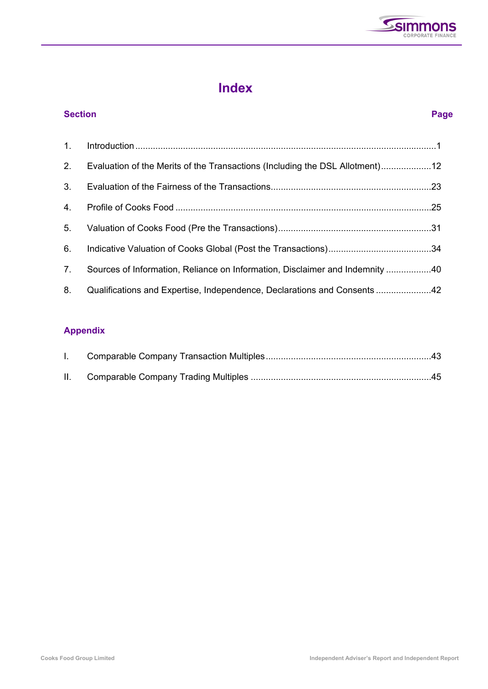

# **Index**

# **Section Page**  1. Introduction ........................................................................................................................ 1 2. Evaluation of the Merits of the Transactions (Including the DSL Allotment) .................... 12 3. Evaluation of the Fairness of the Transactions ................................................................ 23 4. Profile of Cooks Food ......................................................................................................25 5. Valuation of Cooks Food (Pre the Transactions) ............................................................. 31 6. Indicative Valuation of Cooks Global (Post the Transactions) ......................................... 34 7. Sources of Information, Reliance on Information, Disclaimer and Indemnity .................. 40 8. Qualifications and Expertise, Independence, Declarations and Consents ...................... 42

## **Appendix**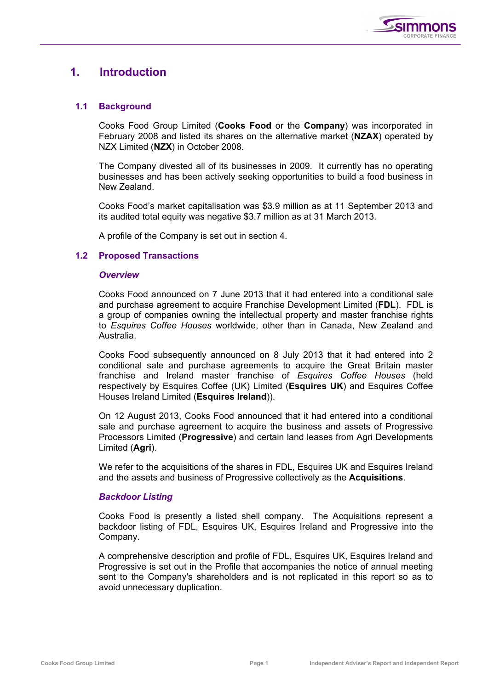

## **1. Introduction**

## **1.1 Background**

Cooks Food Group Limited (**Cooks Food** or the **Company**) was incorporated in February 2008 and listed its shares on the alternative market (**NZAX**) operated by NZX Limited (**NZX**) in October 2008.

The Company divested all of its businesses in 2009. It currently has no operating businesses and has been actively seeking opportunities to build a food business in New Zealand.

Cooks Food's market capitalisation was \$3.9 million as at 11 September 2013 and its audited total equity was negative \$3.7 million as at 31 March 2013.

A profile of the Company is set out in section 4.

## **1.2 Proposed Transactions**

## *Overview*

Cooks Food announced on 7 June 2013 that it had entered into a conditional sale and purchase agreement to acquire Franchise Development Limited (**FDL**). FDL is a group of companies owning the intellectual property and master franchise rights to *Esquires Coffee Houses* worldwide, other than in Canada, New Zealand and Australia.

Cooks Food subsequently announced on 8 July 2013 that it had entered into 2 conditional sale and purchase agreements to acquire the Great Britain master franchise and Ireland master franchise of *Esquires Coffee Houses* (held respectively by Esquires Coffee (UK) Limited (**Esquires UK**) and Esquires Coffee Houses Ireland Limited (**Esquires Ireland**)).

On 12 August 2013, Cooks Food announced that it had entered into a conditional sale and purchase agreement to acquire the business and assets of Progressive Processors Limited (**Progressive**) and certain land leases from Agri Developments Limited (**Agri**).

We refer to the acquisitions of the shares in FDL, Esquires UK and Esquires Ireland and the assets and business of Progressive collectively as the **Acquisitions**.

## *Backdoor Listing*

Cooks Food is presently a listed shell company. The Acquisitions represent a backdoor listing of FDL, Esquires UK, Esquires Ireland and Progressive into the Company.

A comprehensive description and profile of FDL, Esquires UK, Esquires Ireland and Progressive is set out in the Profile that accompanies the notice of annual meeting sent to the Company's shareholders and is not replicated in this report so as to avoid unnecessary duplication.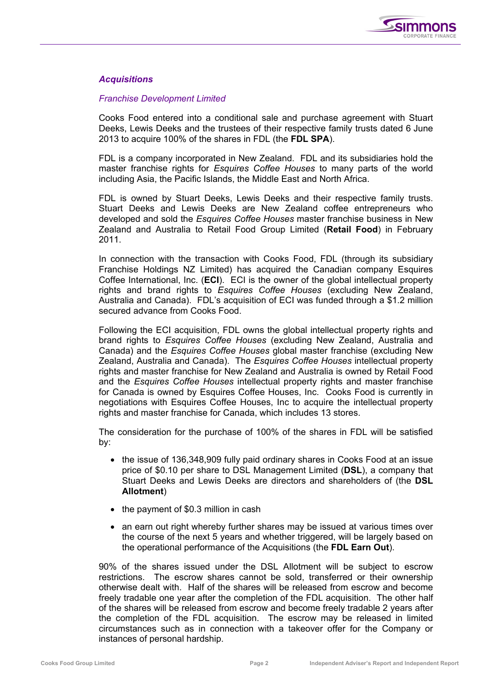

## *Acquisitions*

## *Franchise Development Limited*

Cooks Food entered into a conditional sale and purchase agreement with Stuart Deeks, Lewis Deeks and the trustees of their respective family trusts dated 6 June 2013 to acquire 100% of the shares in FDL (the **FDL SPA**).

FDL is a company incorporated in New Zealand. FDL and its subsidiaries hold the master franchise rights for *Esquires Coffee Houses* to many parts of the world including Asia, the Pacific Islands, the Middle East and North Africa.

FDL is owned by Stuart Deeks, Lewis Deeks and their respective family trusts. Stuart Deeks and Lewis Deeks are New Zealand coffee entrepreneurs who developed and sold the *Esquires Coffee Houses* master franchise business in New Zealand and Australia to Retail Food Group Limited (**Retail Food**) in February 2011.

In connection with the transaction with Cooks Food, FDL (through its subsidiary Franchise Holdings NZ Limited) has acquired the Canadian company Esquires Coffee International, Inc. (**ECI**). ECI is the owner of the global intellectual property rights and brand rights to *Esquires Coffee Houses* (excluding New Zealand, Australia and Canada). FDL's acquisition of ECI was funded through a \$1.2 million secured advance from Cooks Food.

Following the ECI acquisition, FDL owns the global intellectual property rights and brand rights to *Esquires Coffee Houses* (excluding New Zealand, Australia and Canada) and the *Esquires Coffee Houses* global master franchise (excluding New Zealand, Australia and Canada). The *Esquires Coffee Houses* intellectual property rights and master franchise for New Zealand and Australia is owned by Retail Food and the *Esquires Coffee Houses* intellectual property rights and master franchise for Canada is owned by Esquires Coffee Houses, Inc. Cooks Food is currently in negotiations with Esquires Coffee Houses, Inc to acquire the intellectual property rights and master franchise for Canada, which includes 13 stores.

The consideration for the purchase of 100% of the shares in FDL will be satisfied by:

- the issue of 136,348,909 fully paid ordinary shares in Cooks Food at an issue price of \$0.10 per share to DSL Management Limited (**DSL**), a company that Stuart Deeks and Lewis Deeks are directors and shareholders of (the **DSL Allotment**)
- the payment of \$0.3 million in cash
- an earn out right whereby further shares may be issued at various times over the course of the next 5 years and whether triggered, will be largely based on the operational performance of the Acquisitions (the **FDL Earn Out**).

90% of the shares issued under the DSL Allotment will be subject to escrow restrictions. The escrow shares cannot be sold, transferred or their ownership otherwise dealt with. Half of the shares will be released from escrow and become freely tradable one year after the completion of the FDL acquisition. The other half of the shares will be released from escrow and become freely tradable 2 years after the completion of the FDL acquisition. The escrow may be released in limited circumstances such as in connection with a takeover offer for the Company or instances of personal hardship.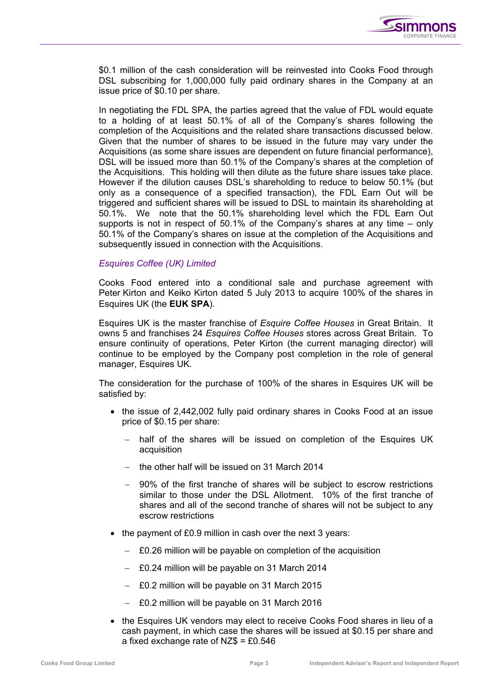

\$0.1 million of the cash consideration will be reinvested into Cooks Food through DSL subscribing for 1,000,000 fully paid ordinary shares in the Company at an issue price of \$0.10 per share.

In negotiating the FDL SPA, the parties agreed that the value of FDL would equate to a holding of at least 50.1% of all of the Company's shares following the completion of the Acquisitions and the related share transactions discussed below. Given that the number of shares to be issued in the future may vary under the Acquisitions (as some share issues are dependent on future financial performance), DSL will be issued more than 50.1% of the Company's shares at the completion of the Acquisitions. This holding will then dilute as the future share issues take place. However if the dilution causes DSL's shareholding to reduce to below 50.1% (but only as a consequence of a specified transaction), the FDL Earn Out will be triggered and sufficient shares will be issued to DSL to maintain its shareholding at 50.1%. We note that the 50.1% shareholding level which the FDL Earn Out supports is not in respect of 50.1% of the Company's shares at any time – only 50.1% of the Company's shares on issue at the completion of the Acquisitions and subsequently issued in connection with the Acquisitions.

## *Esquires Coffee (UK) Limited*

Cooks Food entered into a conditional sale and purchase agreement with Peter Kirton and Keiko Kirton dated 5 July 2013 to acquire 100% of the shares in Esquires UK (the **EUK SPA**).

Esquires UK is the master franchise of *Esquire Coffee Houses* in Great Britain. It owns 5 and franchises 24 *Esquires Coffee Houses* stores across Great Britain. To ensure continuity of operations, Peter Kirton (the current managing director) will continue to be employed by the Company post completion in the role of general manager, Esquires UK.

The consideration for the purchase of 100% of the shares in Esquires UK will be satisfied by:

- the issue of 2,442,002 fully paid ordinary shares in Cooks Food at an issue price of \$0.15 per share:
	- half of the shares will be issued on completion of the Esquires UK acquisition
	- − the other half will be issued on 31 March 2014
	- − 90% of the first tranche of shares will be subject to escrow restrictions similar to those under the DSL Allotment. 10% of the first tranche of shares and all of the second tranche of shares will not be subject to any escrow restrictions
- the payment of £0.9 million in cash over the next 3 years:
	- − £0.26 million will be payable on completion of the acquisition
	- − £0.24 million will be payable on 31 March 2014
	- − £0.2 million will be payable on 31 March 2015
	- − £0.2 million will be payable on 31 March 2016
- the Esquires UK vendors may elect to receive Cooks Food shares in lieu of a cash payment, in which case the shares will be issued at \$0.15 per share and a fixed exchange rate of  $NZ\$  = £0.546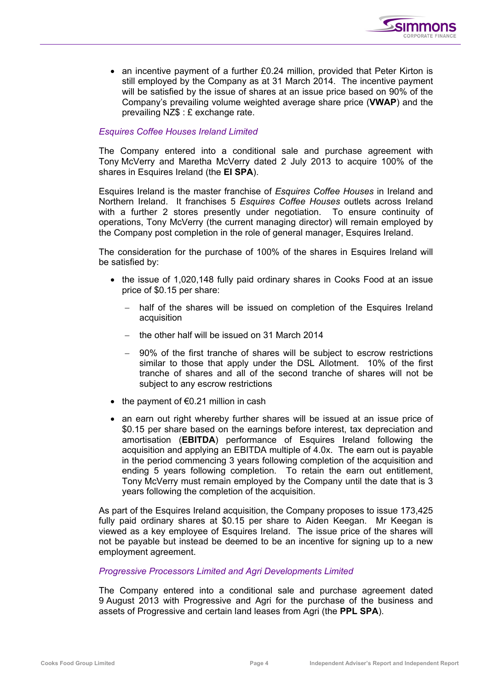

• an incentive payment of a further £0.24 million, provided that Peter Kirton is still employed by the Company as at 31 March 2014. The incentive payment will be satisfied by the issue of shares at an issue price based on 90% of the Company's prevailing volume weighted average share price (**VWAP**) and the prevailing NZ\$ : £ exchange rate.

## *Esquires Coffee Houses Ireland Limited*

The Company entered into a conditional sale and purchase agreement with Tony McVerry and Maretha McVerry dated 2 July 2013 to acquire 100% of the shares in Esquires Ireland (the **EI SPA**).

Esquires Ireland is the master franchise of *Esquires Coffee Houses* in Ireland and Northern Ireland. It franchises 5 *Esquires Coffee Houses* outlets across Ireland with a further 2 stores presently under negotiation. To ensure continuity of operations, Tony McVerry (the current managing director) will remain employed by the Company post completion in the role of general manager, Esquires Ireland.

The consideration for the purchase of 100% of the shares in Esquires Ireland will be satisfied by:

- the issue of 1,020,148 fully paid ordinary shares in Cooks Food at an issue price of \$0.15 per share:
	- − half of the shares will be issued on completion of the Esquires Ireland acquisition
	- − the other half will be issued on 31 March 2014
	- − 90% of the first tranche of shares will be subject to escrow restrictions similar to those that apply under the DSL Allotment. 10% of the first tranche of shares and all of the second tranche of shares will not be subject to any escrow restrictions
- the payment of €0.21 million in cash
- an earn out right whereby further shares will be issued at an issue price of \$0.15 per share based on the earnings before interest, tax depreciation and amortisation (**EBITDA**) performance of Esquires Ireland following the acquisition and applying an EBITDA multiple of 4.0x. The earn out is payable in the period commencing 3 years following completion of the acquisition and ending 5 years following completion. To retain the earn out entitlement, Tony McVerry must remain employed by the Company until the date that is 3 years following the completion of the acquisition.

As part of the Esquires Ireland acquisition, the Company proposes to issue 173,425 fully paid ordinary shares at \$0.15 per share to Aiden Keegan. Mr Keegan is viewed as a key employee of Esquires Ireland. The issue price of the shares will not be payable but instead be deemed to be an incentive for signing up to a new employment agreement.

## *Progressive Processors Limited and Agri Developments Limited*

The Company entered into a conditional sale and purchase agreement dated 9 August 2013 with Progressive and Agri for the purchase of the business and assets of Progressive and certain land leases from Agri (the **PPL SPA**).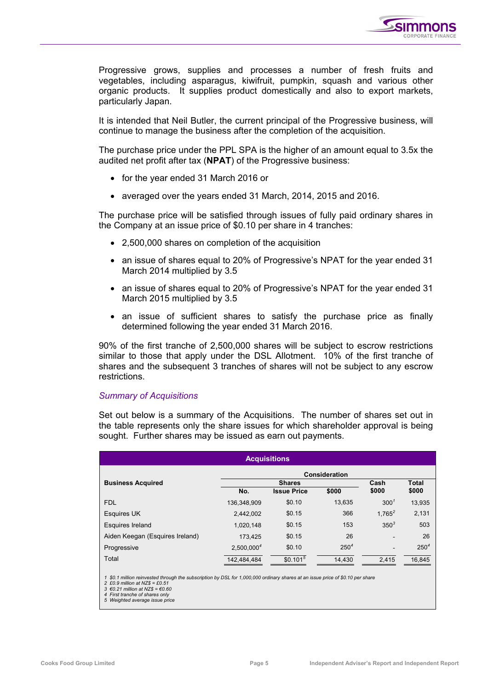

Progressive grows, supplies and processes a number of fresh fruits and vegetables, including asparagus, kiwifruit, pumpkin, squash and various other organic products. It supplies product domestically and also to export markets, particularly Japan.

It is intended that Neil Butler, the current principal of the Progressive business, will continue to manage the business after the completion of the acquisition.

The purchase price under the PPL SPA is the higher of an amount equal to 3.5x the audited net profit after tax (**NPAT**) of the Progressive business:

- for the year ended 31 March 2016 or
- averaged over the years ended 31 March, 2014, 2015 and 2016.

The purchase price will be satisfied through issues of fully paid ordinary shares in the Company at an issue price of \$0.10 per share in 4 tranches:

- 2,500,000 shares on completion of the acquisition
- an issue of shares equal to 20% of Progressive's NPAT for the year ended 31 March 2014 multiplied by 3.5
- an issue of shares equal to 20% of Progressive's NPAT for the year ended 31 March 2015 multiplied by 3.5
- an issue of sufficient shares to satisfy the purchase price as finally determined following the year ended 31 March 2016.

90% of the first tranche of 2,500,000 shares will be subject to escrow restrictions similar to those that apply under the DSL Allotment. 10% of the first tranche of shares and the subsequent 3 tranches of shares will not be subject to any escrow restrictions.

#### *Summary of Acquisitions*

Set out below is a summary of the Acquisitions. The number of shares set out in the table represents only the share issues for which shareholder approval is being sought. Further shares may be issued as earn out payments.

| <b>Acquisitions</b>             |                      |                      |           |                  |              |  |  |
|---------------------------------|----------------------|----------------------|-----------|------------------|--------------|--|--|
|                                 | <b>Consideration</b> |                      |           |                  |              |  |  |
| <b>Business Acquired</b>        |                      | <b>Shares</b>        |           | Cash             | <b>Total</b> |  |  |
|                                 | No.                  | <b>Issue Price</b>   | \$000     | \$000            | \$000        |  |  |
| <b>FDL</b>                      | 136.348.909          | \$0.10               | 13,635    | 300 <sup>1</sup> | 13,935       |  |  |
| <b>Esquires UK</b>              | 2,442,002            | \$0.15               | 366       | $1,765^2$        | 2,131        |  |  |
| <b>Esquires Ireland</b>         | 1,020,148            | \$0.15               | 153       | $350^3$          | 503          |  |  |
| Aiden Keegan (Esquires Ireland) | 173,425              | \$0.15               | 26        |                  | 26           |  |  |
| Progressive                     | $2,500,000^4$        | \$0.10               | $250^{4}$ |                  | $250^{4}$    |  |  |
| Total                           | 142.484.484          | \$0.101 <sup>5</sup> | 14,430    | 2.415            | 16,845       |  |  |

*1 \$0.1 million reinvested through the subscription by DSL for 1,000,000 ordinary shares at an issue price of \$0.10 per share* 

*2 £0.9 million at NZ\$ = £0.51 3 €0.21 million at NZ\$ = €0.60 4 First tranche of shares only 5 Weighted average issue price*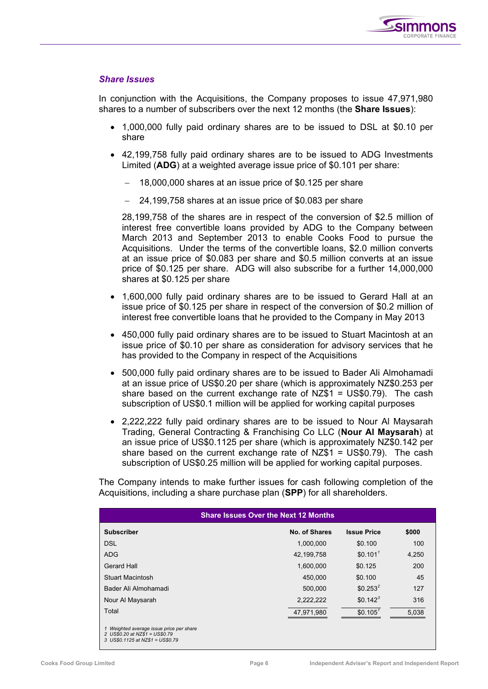

## *Share Issues*

In conjunction with the Acquisitions, the Company proposes to issue 47,971,980 shares to a number of subscribers over the next 12 months (the **Share Issues**):

- 1,000,000 fully paid ordinary shares are to be issued to DSL at \$0.10 per share
- 42,199,758 fully paid ordinary shares are to be issued to ADG Investments Limited (**ADG**) at a weighted average issue price of \$0.101 per share:
	- − 18,000,000 shares at an issue price of \$0.125 per share
	- − 24,199,758 shares at an issue price of \$0.083 per share

28,199,758 of the shares are in respect of the conversion of \$2.5 million of interest free convertible loans provided by ADG to the Company between March 2013 and September 2013 to enable Cooks Food to pursue the Acquisitions. Under the terms of the convertible loans, \$2.0 million converts at an issue price of \$0.083 per share and \$0.5 million converts at an issue price of \$0.125 per share. ADG will also subscribe for a further 14,000,000 shares at \$0.125 per share

- 1,600,000 fully paid ordinary shares are to be issued to Gerard Hall at an issue price of \$0.125 per share in respect of the conversion of \$0.2 million of interest free convertible loans that he provided to the Company in May 2013
- 450,000 fully paid ordinary shares are to be issued to Stuart Macintosh at an issue price of \$0.10 per share as consideration for advisory services that he has provided to the Company in respect of the Acquisitions
- 500,000 fully paid ordinary shares are to be issued to Bader Ali Almohamadi at an issue price of US\$0.20 per share (which is approximately NZ\$0.253 per share based on the current exchange rate of NZ\$1 = US\$0.79). The cash subscription of US\$0.1 million will be applied for working capital purposes
- 2,222,222 fully paid ordinary shares are to be issued to Nour Al Maysarah Trading, General Contracting & Franchising Co LLC (**Nour Al Maysarah**) at an issue price of US\$0.1125 per share (which is approximately NZ\$0.142 per share based on the current exchange rate of NZ\$1 = US\$0.79). The cash subscription of US\$0.25 million will be applied for working capital purposes.

The Company intends to make further issues for cash following completion of the Acquisitions, including a share purchase plan (**SPP**) for all shareholders.

| <b>Share Issues Over the Next 12 Months</b>                                                                  |               |                    |       |  |  |  |  |
|--------------------------------------------------------------------------------------------------------------|---------------|--------------------|-------|--|--|--|--|
| <b>Subscriber</b>                                                                                            | No. of Shares | <b>Issue Price</b> | \$000 |  |  |  |  |
| <b>DSL</b>                                                                                                   | 1,000,000     | \$0.100            | 100   |  |  |  |  |
| <b>ADG</b>                                                                                                   | 42,199,758    | \$0.101            | 4,250 |  |  |  |  |
| Gerard Hall                                                                                                  | 1,600,000     | \$0.125            | 200   |  |  |  |  |
| Stuart Macintosh                                                                                             | 450,000       | \$0.100            | 45    |  |  |  |  |
| Bader Ali Almohamadi                                                                                         | 500,000       | $$0.253^2$         | 127   |  |  |  |  |
| Nour Al Maysarah                                                                                             | 2,222,222     | $$0.142^3$         | 316   |  |  |  |  |
| Total                                                                                                        | 47,971,980    | \$0.105'           | 5.038 |  |  |  |  |
| Weighted average issue price per share<br>2 US\$0.20 at NZ\$1 = US\$0.79<br>3 US\$0.1125 at NZ\$1 = US\$0.79 |               |                    |       |  |  |  |  |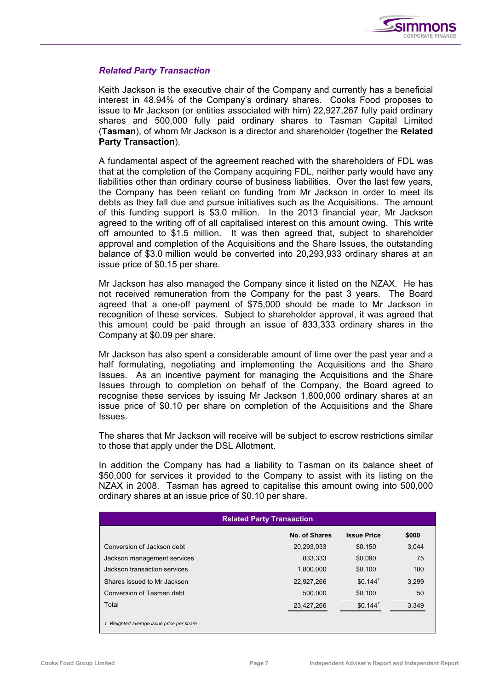

## *Related Party Transaction*

Keith Jackson is the executive chair of the Company and currently has a beneficial interest in 48.94% of the Company's ordinary shares. Cooks Food proposes to issue to Mr Jackson (or entities associated with him) 22,927,267 fully paid ordinary shares and 500,000 fully paid ordinary shares to Tasman Capital Limited (**Tasman**), of whom Mr Jackson is a director and shareholder (together the **Related Party Transaction**).

A fundamental aspect of the agreement reached with the shareholders of FDL was that at the completion of the Company acquiring FDL, neither party would have any liabilities other than ordinary course of business liabilities. Over the last few years, the Company has been reliant on funding from Mr Jackson in order to meet its debts as they fall due and pursue initiatives such as the Acquisitions. The amount of this funding support is \$3.0 million. In the 2013 financial year, Mr Jackson agreed to the writing off of all capitalised interest on this amount owing. This write off amounted to \$1.5 million. It was then agreed that, subject to shareholder approval and completion of the Acquisitions and the Share Issues, the outstanding balance of \$3.0 million would be converted into 20,293,933 ordinary shares at an issue price of \$0.15 per share.

Mr Jackson has also managed the Company since it listed on the NZAX. He has not received remuneration from the Company for the past 3 years. The Board agreed that a one-off payment of \$75,000 should be made to Mr Jackson in recognition of these services. Subject to shareholder approval, it was agreed that this amount could be paid through an issue of 833,333 ordinary shares in the Company at \$0.09 per share.

Mr Jackson has also spent a considerable amount of time over the past year and a half formulating, negotiating and implementing the Acquisitions and the Share Issues. As an incentive payment for managing the Acquisitions and the Share Issues through to completion on behalf of the Company, the Board agreed to recognise these services by issuing Mr Jackson 1,800,000 ordinary shares at an issue price of \$0.10 per share on completion of the Acquisitions and the Share Issues.

The shares that Mr Jackson will receive will be subject to escrow restrictions similar to those that apply under the DSL Allotment.

In addition the Company has had a liability to Tasman on its balance sheet of \$50,000 for services it provided to the Company to assist with its listing on the NZAX in 2008. Tasman has agreed to capitalise this amount owing into 500,000 ordinary shares at an issue price of \$0.10 per share.

| <b>Related Party Transaction</b>       |               |                       |       |  |  |  |  |
|----------------------------------------|---------------|-----------------------|-------|--|--|--|--|
|                                        | No. of Shares | <b>Issue Price</b>    | \$000 |  |  |  |  |
| Conversion of Jackson debt             | 20,293,933    | \$0.150               | 3.044 |  |  |  |  |
| Jackson management services            | 833.333       | \$0.090               | 75    |  |  |  |  |
| Jackson transaction services           | 1.800.000     | \$0.100               | 180   |  |  |  |  |
| Shares issued to Mr Jackson            | 22,927,266    | $$0.144$ <sup>1</sup> | 3.299 |  |  |  |  |
| Conversion of Tasman debt              | 500.000       | \$0.100               | 50    |  |  |  |  |
| Total                                  | 23,427,266    | $$0.144$ <sup>7</sup> | 3,349 |  |  |  |  |
| Weighted average issue price per share |               |                       |       |  |  |  |  |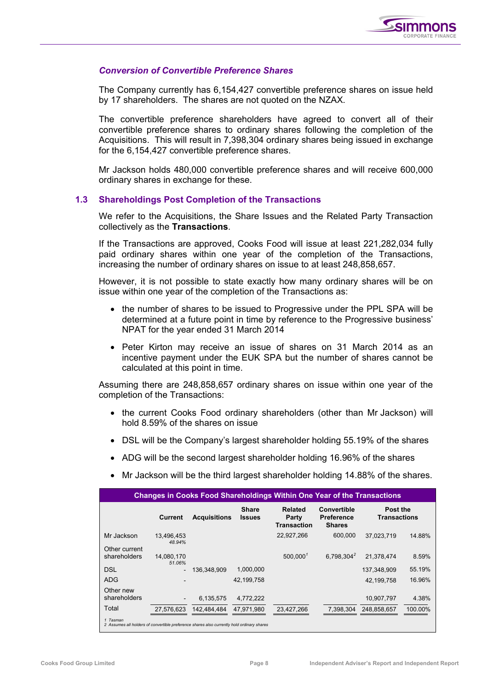

## *Conversion of Convertible Preference Shares*

The Company currently has 6,154,427 convertible preference shares on issue held by 17 shareholders. The shares are not quoted on the NZAX.

The convertible preference shareholders have agreed to convert all of their convertible preference shares to ordinary shares following the completion of the Acquisitions. This will result in 7,398,304 ordinary shares being issued in exchange for the 6,154,427 convertible preference shares.

Mr Jackson holds 480,000 convertible preference shares and will receive 600,000 ordinary shares in exchange for these.

## **1.3 Shareholdings Post Completion of the Transactions**

We refer to the Acquisitions, the Share Issues and the Related Party Transaction collectively as the **Transactions**.

If the Transactions are approved, Cooks Food will issue at least 221,282,034 fully paid ordinary shares within one year of the completion of the Transactions, increasing the number of ordinary shares on issue to at least 248,858,657.

However, it is not possible to state exactly how many ordinary shares will be on issue within one year of the completion of the Transactions as:

- the number of shares to be issued to Progressive under the PPL SPA will be determined at a future point in time by reference to the Progressive business' NPAT for the year ended 31 March 2014
- Peter Kirton may receive an issue of shares on 31 March 2014 as an incentive payment under the EUK SPA but the number of shares cannot be calculated at this point in time.

Assuming there are 248,858,657 ordinary shares on issue within one year of the completion of the Transactions:

- the current Cooks Food ordinary shareholders (other than Mr Jackson) will hold 8.59% of the shares on issue
- DSL will be the Company's largest shareholder holding 55.19% of the shares
- ADG will be the second largest shareholder holding 16.96% of the shares
- Mr Jackson will be the third largest shareholder holding 14.88% of the shares.

| <b>Changes in Cooks Food Shareholdings Within One Year of the Transactions</b>                         |                          |                     |                               |                                        |                                                   |                                 |         |  |  |
|--------------------------------------------------------------------------------------------------------|--------------------------|---------------------|-------------------------------|----------------------------------------|---------------------------------------------------|---------------------------------|---------|--|--|
|                                                                                                        | Current                  | <b>Acquisitions</b> | <b>Share</b><br><b>Issues</b> | Related<br>Party<br><b>Transaction</b> | Convertible<br><b>Preference</b><br><b>Shares</b> | Post the<br><b>Transactions</b> |         |  |  |
| Mr Jackson                                                                                             | 13.496.453<br>48.94%     |                     |                               | 22,927,266                             | 600,000                                           | 37.023.719                      | 14.88%  |  |  |
| Other current<br>shareholders                                                                          | 14.080.170<br>51.06%     |                     |                               | 500.000 <sup>1</sup>                   | 6.798.304 <sup>2</sup>                            | 21.378.474                      | 8.59%   |  |  |
| <b>DSL</b>                                                                                             |                          | 136.348.909         | 1,000,000                     |                                        |                                                   | 137.348.909                     | 55.19%  |  |  |
| <b>ADG</b>                                                                                             |                          |                     | 42,199,758                    |                                        |                                                   | 42,199,758                      | 16.96%  |  |  |
| Other new<br>shareholders                                                                              | $\overline{\phantom{a}}$ | 6.135.575           | 4,772,222                     |                                        |                                                   | 10.907.797                      | 4.38%   |  |  |
| Total                                                                                                  | 27.576.623               | 142.484.484         | 47.971.980                    | 23,427,266                             | 7.398.304                                         | 248.858.657                     | 100.00% |  |  |
| 1 Tasman<br>2 Assumes all holders of convertible preference shares also currently hold ordinary shares |                          |                     |                               |                                        |                                                   |                                 |         |  |  |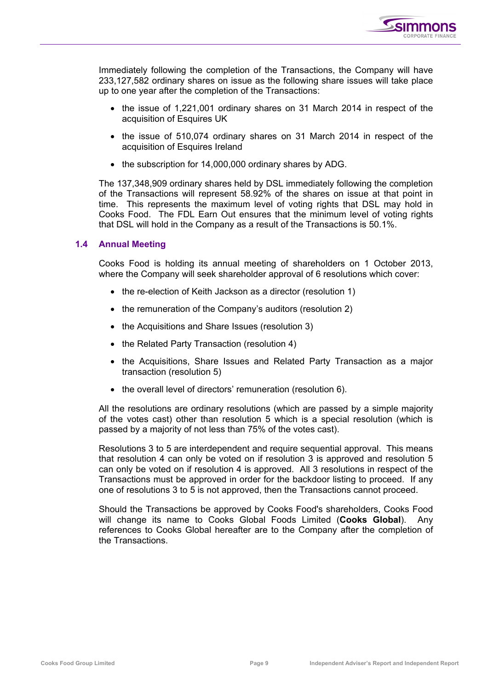

Immediately following the completion of the Transactions, the Company will have 233,127,582 ordinary shares on issue as the following share issues will take place up to one year after the completion of the Transactions:

- the issue of 1,221,001 ordinary shares on 31 March 2014 in respect of the acquisition of Esquires UK
- the issue of 510,074 ordinary shares on 31 March 2014 in respect of the acquisition of Esquires Ireland
- the subscription for 14,000,000 ordinary shares by ADG.

The 137,348,909 ordinary shares held by DSL immediately following the completion of the Transactions will represent 58.92% of the shares on issue at that point in time. This represents the maximum level of voting rights that DSL may hold in Cooks Food. The FDL Earn Out ensures that the minimum level of voting rights that DSL will hold in the Company as a result of the Transactions is 50.1%.

## **1.4 Annual Meeting**

Cooks Food is holding its annual meeting of shareholders on 1 October 2013, where the Company will seek shareholder approval of 6 resolutions which cover:

- the re-election of Keith Jackson as a director (resolution 1)
- the remuneration of the Company's auditors (resolution 2)
- the Acquisitions and Share Issues (resolution 3)
- the Related Party Transaction (resolution 4)
- the Acquisitions, Share Issues and Related Party Transaction as a major transaction (resolution 5)
- the overall level of directors' remuneration (resolution 6).

All the resolutions are ordinary resolutions (which are passed by a simple majority of the votes cast) other than resolution 5 which is a special resolution (which is passed by a majority of not less than 75% of the votes cast).

Resolutions 3 to 5 are interdependent and require sequential approval. This means that resolution 4 can only be voted on if resolution 3 is approved and resolution 5 can only be voted on if resolution 4 is approved. All 3 resolutions in respect of the Transactions must be approved in order for the backdoor listing to proceed. If any one of resolutions 3 to 5 is not approved, then the Transactions cannot proceed.

Should the Transactions be approved by Cooks Food's shareholders, Cooks Food will change its name to Cooks Global Foods Limited (**Cooks Global**). Any references to Cooks Global hereafter are to the Company after the completion of the Transactions.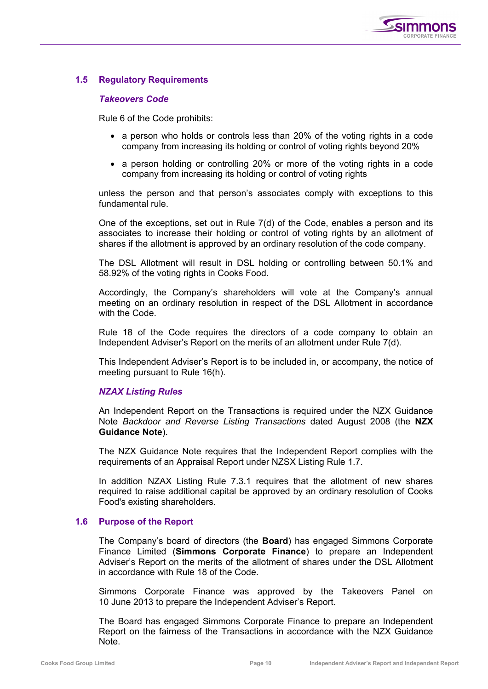

## **1.5 Regulatory Requirements**

## *Takeovers Code*

Rule 6 of the Code prohibits:

- a person who holds or controls less than 20% of the voting rights in a code company from increasing its holding or control of voting rights beyond 20%
- a person holding or controlling 20% or more of the voting rights in a code company from increasing its holding or control of voting rights

unless the person and that person's associates comply with exceptions to this fundamental rule.

One of the exceptions, set out in Rule 7(d) of the Code, enables a person and its associates to increase their holding or control of voting rights by an allotment of shares if the allotment is approved by an ordinary resolution of the code company.

The DSL Allotment will result in DSL holding or controlling between 50.1% and 58.92% of the voting rights in Cooks Food.

Accordingly, the Company's shareholders will vote at the Company's annual meeting on an ordinary resolution in respect of the DSL Allotment in accordance with the Code.

Rule 18 of the Code requires the directors of a code company to obtain an Independent Adviser's Report on the merits of an allotment under Rule 7(d).

This Independent Adviser's Report is to be included in, or accompany, the notice of meeting pursuant to Rule 16(h).

## *NZAX Listing Rules*

An Independent Report on the Transactions is required under the NZX Guidance Note *Backdoor and Reverse Listing Transactions* dated August 2008 (the **NZX Guidance Note**).

The NZX Guidance Note requires that the Independent Report complies with the requirements of an Appraisal Report under NZSX Listing Rule 1.7.

In addition NZAX Listing Rule 7.3.1 requires that the allotment of new shares required to raise additional capital be approved by an ordinary resolution of Cooks Food's existing shareholders.

## **1.6 Purpose of the Report**

The Company's board of directors (the **Board**) has engaged Simmons Corporate Finance Limited (**Simmons Corporate Finance**) to prepare an Independent Adviser's Report on the merits of the allotment of shares under the DSL Allotment in accordance with Rule 18 of the Code.

Simmons Corporate Finance was approved by the Takeovers Panel on 10 June 2013 to prepare the Independent Adviser's Report.

The Board has engaged Simmons Corporate Finance to prepare an Independent Report on the fairness of the Transactions in accordance with the NZX Guidance Note.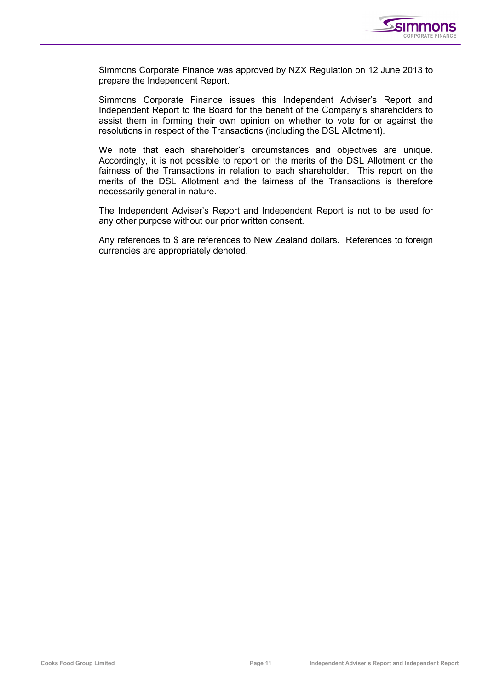

Simmons Corporate Finance was approved by NZX Regulation on 12 June 2013 to prepare the Independent Report.

Simmons Corporate Finance issues this Independent Adviser's Report and Independent Report to the Board for the benefit of the Company's shareholders to assist them in forming their own opinion on whether to vote for or against the resolutions in respect of the Transactions (including the DSL Allotment).

We note that each shareholder's circumstances and objectives are unique. Accordingly, it is not possible to report on the merits of the DSL Allotment or the fairness of the Transactions in relation to each shareholder. This report on the merits of the DSL Allotment and the fairness of the Transactions is therefore necessarily general in nature.

The Independent Adviser's Report and Independent Report is not to be used for any other purpose without our prior written consent.

Any references to \$ are references to New Zealand dollars. References to foreign currencies are appropriately denoted.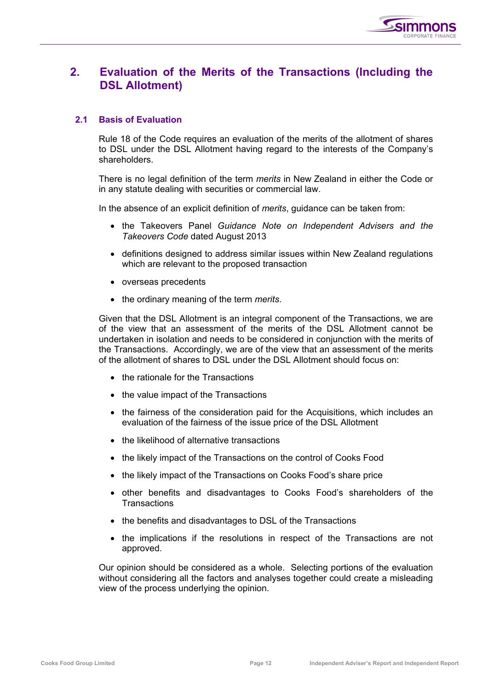

## **2. Evaluation of the Merits of the Transactions (Including the DSL Allotment)**

## **2.1 Basis of Evaluation**

Rule 18 of the Code requires an evaluation of the merits of the allotment of shares to DSL under the DSL Allotment having regard to the interests of the Company's shareholders.

There is no legal definition of the term *merits* in New Zealand in either the Code or in any statute dealing with securities or commercial law.

In the absence of an explicit definition of *merits*, guidance can be taken from:

- the Takeovers Panel *Guidance Note on Independent Advisers and the Takeovers Code* dated August 2013
- definitions designed to address similar issues within New Zealand regulations which are relevant to the proposed transaction
- overseas precedents
- the ordinary meaning of the term *merits*.

Given that the DSL Allotment is an integral component of the Transactions, we are of the view that an assessment of the merits of the DSL Allotment cannot be undertaken in isolation and needs to be considered in conjunction with the merits of the Transactions. Accordingly, we are of the view that an assessment of the merits of the allotment of shares to DSL under the DSL Allotment should focus on:

- the rationale for the Transactions
- the value impact of the Transactions
- the fairness of the consideration paid for the Acquisitions, which includes an evaluation of the fairness of the issue price of the DSL Allotment
- the likelihood of alternative transactions
- the likely impact of the Transactions on the control of Cooks Food
- the likely impact of the Transactions on Cooks Food's share price
- other benefits and disadvantages to Cooks Food's shareholders of the **Transactions**
- the benefits and disadvantages to DSL of the Transactions
- the implications if the resolutions in respect of the Transactions are not approved.

Our opinion should be considered as a whole. Selecting portions of the evaluation without considering all the factors and analyses together could create a misleading view of the process underlying the opinion.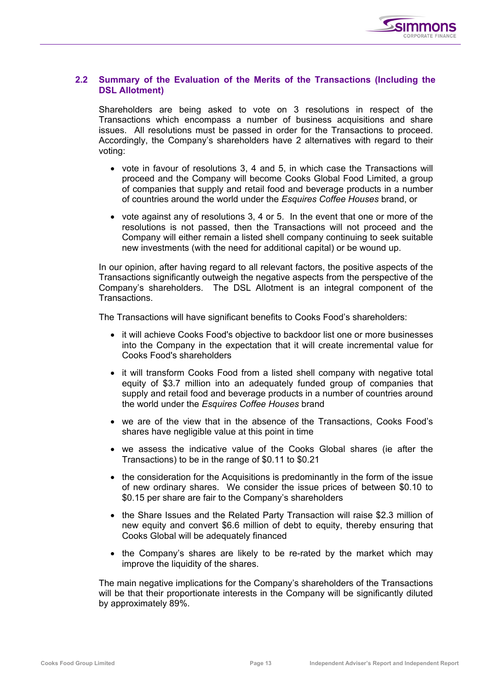

## **2.2 Summary of the Evaluation of the Merits of the Transactions (Including the DSL Allotment)**

Shareholders are being asked to vote on 3 resolutions in respect of the Transactions which encompass a number of business acquisitions and share issues. All resolutions must be passed in order for the Transactions to proceed. Accordingly, the Company's shareholders have 2 alternatives with regard to their voting:

- vote in favour of resolutions 3, 4 and 5, in which case the Transactions will proceed and the Company will become Cooks Global Food Limited, a group of companies that supply and retail food and beverage products in a number of countries around the world under the *Esquires Coffee Houses* brand, or
- vote against any of resolutions 3, 4 or 5. In the event that one or more of the resolutions is not passed, then the Transactions will not proceed and the Company will either remain a listed shell company continuing to seek suitable new investments (with the need for additional capital) or be wound up.

In our opinion, after having regard to all relevant factors, the positive aspects of the Transactions significantly outweigh the negative aspects from the perspective of the Company's shareholders. The DSL Allotment is an integral component of the Transactions.

The Transactions will have significant benefits to Cooks Food's shareholders:

- it will achieve Cooks Food's objective to backdoor list one or more businesses into the Company in the expectation that it will create incremental value for Cooks Food's shareholders
- it will transform Cooks Food from a listed shell company with negative total equity of \$3.7 million into an adequately funded group of companies that supply and retail food and beverage products in a number of countries around the world under the *Esquires Coffee Houses* brand
- we are of the view that in the absence of the Transactions, Cooks Food's shares have negligible value at this point in time
- we assess the indicative value of the Cooks Global shares (ie after the Transactions) to be in the range of \$0.11 to \$0.21
- the consideration for the Acquisitions is predominantly in the form of the issue of new ordinary shares. We consider the issue prices of between \$0.10 to \$0.15 per share are fair to the Company's shareholders
- the Share Issues and the Related Party Transaction will raise \$2.3 million of new equity and convert \$6.6 million of debt to equity, thereby ensuring that Cooks Global will be adequately financed
- the Company's shares are likely to be re-rated by the market which may improve the liquidity of the shares.

The main negative implications for the Company's shareholders of the Transactions will be that their proportionate interests in the Company will be significantly diluted by approximately 89%.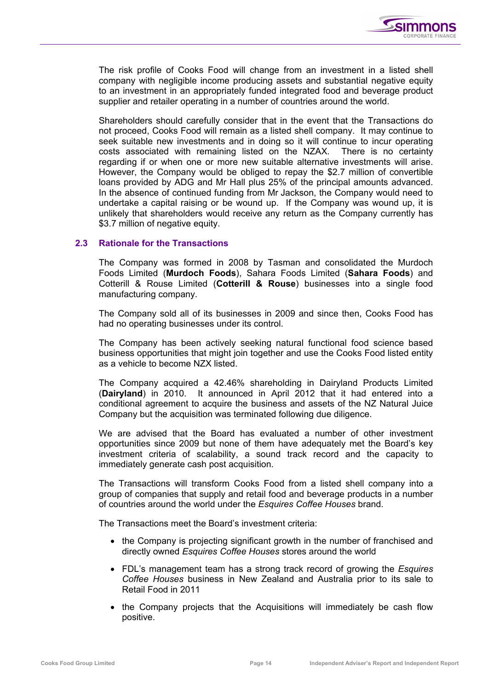

The risk profile of Cooks Food will change from an investment in a listed shell company with negligible income producing assets and substantial negative equity to an investment in an appropriately funded integrated food and beverage product supplier and retailer operating in a number of countries around the world.

Shareholders should carefully consider that in the event that the Transactions do not proceed, Cooks Food will remain as a listed shell company. It may continue to seek suitable new investments and in doing so it will continue to incur operating costs associated with remaining listed on the NZAX. There is no certainty regarding if or when one or more new suitable alternative investments will arise. However, the Company would be obliged to repay the \$2.7 million of convertible loans provided by ADG and Mr Hall plus 25% of the principal amounts advanced. In the absence of continued funding from Mr Jackson, the Company would need to undertake a capital raising or be wound up. If the Company was wound up, it is unlikely that shareholders would receive any return as the Company currently has \$3.7 million of negative equity.

## **2.3 Rationale for the Transactions**

The Company was formed in 2008 by Tasman and consolidated the Murdoch Foods Limited (**Murdoch Foods**), Sahara Foods Limited (**Sahara Foods**) and Cotterill & Rouse Limited (**Cotterill & Rouse**) businesses into a single food manufacturing company.

The Company sold all of its businesses in 2009 and since then, Cooks Food has had no operating businesses under its control.

The Company has been actively seeking natural functional food science based business opportunities that might join together and use the Cooks Food listed entity as a vehicle to become NZX listed.

The Company acquired a 42.46% shareholding in Dairyland Products Limited (**Dairyland**) in 2010. It announced in April 2012 that it had entered into a conditional agreement to acquire the business and assets of the NZ Natural Juice Company but the acquisition was terminated following due diligence.

We are advised that the Board has evaluated a number of other investment opportunities since 2009 but none of them have adequately met the Board's key investment criteria of scalability, a sound track record and the capacity to immediately generate cash post acquisition.

The Transactions will transform Cooks Food from a listed shell company into a group of companies that supply and retail food and beverage products in a number of countries around the world under the *Esquires Coffee Houses* brand.

The Transactions meet the Board's investment criteria:

- the Company is projecting significant growth in the number of franchised and directly owned *Esquires Coffee Houses* stores around the world
- FDL's management team has a strong track record of growing the *Esquires Coffee Houses* business in New Zealand and Australia prior to its sale to Retail Food in 2011
- the Company projects that the Acquisitions will immediately be cash flow positive.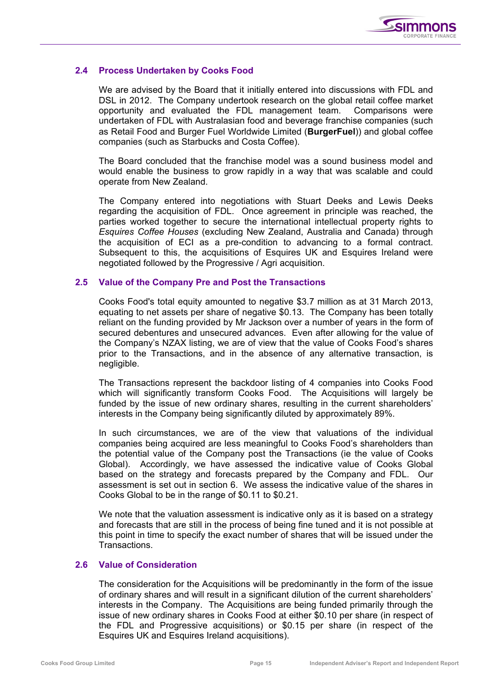

## **2.4 Process Undertaken by Cooks Food**

We are advised by the Board that it initially entered into discussions with FDL and DSL in 2012. The Company undertook research on the global retail coffee market opportunity and evaluated the FDL management team. Comparisons were undertaken of FDL with Australasian food and beverage franchise companies (such as Retail Food and Burger Fuel Worldwide Limited (**BurgerFuel**)) and global coffee companies (such as Starbucks and Costa Coffee).

The Board concluded that the franchise model was a sound business model and would enable the business to grow rapidly in a way that was scalable and could operate from New Zealand.

The Company entered into negotiations with Stuart Deeks and Lewis Deeks regarding the acquisition of FDL. Once agreement in principle was reached, the parties worked together to secure the international intellectual property rights to *Esquires Coffee Houses* (excluding New Zealand, Australia and Canada) through the acquisition of ECI as a pre-condition to advancing to a formal contract. Subsequent to this, the acquisitions of Esquires UK and Esquires Ireland were negotiated followed by the Progressive / Agri acquisition.

## **2.5 Value of the Company Pre and Post the Transactions**

Cooks Food's total equity amounted to negative \$3.7 million as at 31 March 2013, equating to net assets per share of negative \$0.13. The Company has been totally reliant on the funding provided by Mr Jackson over a number of years in the form of secured debentures and unsecured advances. Even after allowing for the value of the Company's NZAX listing, we are of view that the value of Cooks Food's shares prior to the Transactions, and in the absence of any alternative transaction, is negligible.

The Transactions represent the backdoor listing of 4 companies into Cooks Food which will significantly transform Cooks Food. The Acquisitions will largely be funded by the issue of new ordinary shares, resulting in the current shareholders' interests in the Company being significantly diluted by approximately 89%.

In such circumstances, we are of the view that valuations of the individual companies being acquired are less meaningful to Cooks Food's shareholders than the potential value of the Company post the Transactions (ie the value of Cooks Global). Accordingly, we have assessed the indicative value of Cooks Global based on the strategy and forecasts prepared by the Company and FDL. Our assessment is set out in section 6. We assess the indicative value of the shares in Cooks Global to be in the range of \$0.11 to \$0.21.

We note that the valuation assessment is indicative only as it is based on a strategy and forecasts that are still in the process of being fine tuned and it is not possible at this point in time to specify the exact number of shares that will be issued under the **Transactions** 

## **2.6 Value of Consideration**

The consideration for the Acquisitions will be predominantly in the form of the issue of ordinary shares and will result in a significant dilution of the current shareholders' interests in the Company. The Acquisitions are being funded primarily through the issue of new ordinary shares in Cooks Food at either \$0.10 per share (in respect of the FDL and Progressive acquisitions) or \$0.15 per share (in respect of the Esquires UK and Esquires Ireland acquisitions).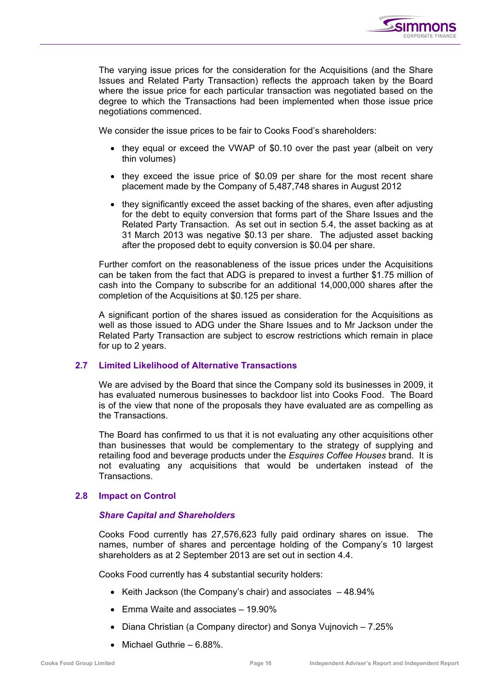

The varying issue prices for the consideration for the Acquisitions (and the Share Issues and Related Party Transaction) reflects the approach taken by the Board where the issue price for each particular transaction was negotiated based on the degree to which the Transactions had been implemented when those issue price negotiations commenced.

We consider the issue prices to be fair to Cooks Food's shareholders:

- they equal or exceed the VWAP of \$0.10 over the past year (albeit on very thin volumes)
- they exceed the issue price of \$0.09 per share for the most recent share placement made by the Company of 5,487,748 shares in August 2012
- they significantly exceed the asset backing of the shares, even after adjusting for the debt to equity conversion that forms part of the Share Issues and the Related Party Transaction. As set out in section 5.4, the asset backing as at 31 March 2013 was negative \$0.13 per share. The adjusted asset backing after the proposed debt to equity conversion is \$0.04 per share.

Further comfort on the reasonableness of the issue prices under the Acquisitions can be taken from the fact that ADG is prepared to invest a further \$1.75 million of cash into the Company to subscribe for an additional 14,000,000 shares after the completion of the Acquisitions at \$0.125 per share.

A significant portion of the shares issued as consideration for the Acquisitions as well as those issued to ADG under the Share Issues and to Mr Jackson under the Related Party Transaction are subject to escrow restrictions which remain in place for up to 2 years.

## **2.7 Limited Likelihood of Alternative Transactions**

We are advised by the Board that since the Company sold its businesses in 2009, it has evaluated numerous businesses to backdoor list into Cooks Food. The Board is of the view that none of the proposals they have evaluated are as compelling as the Transactions.

The Board has confirmed to us that it is not evaluating any other acquisitions other than businesses that would be complementary to the strategy of supplying and retailing food and beverage products under the *Esquires Coffee Houses* brand. It is not evaluating any acquisitions that would be undertaken instead of the Transactions.

## **2.8 Impact on Control**

## *Share Capital and Shareholders*

Cooks Food currently has 27,576,623 fully paid ordinary shares on issue. The names, number of shares and percentage holding of the Company's 10 largest shareholders as at 2 September 2013 are set out in section 4.4.

Cooks Food currently has 4 substantial security holders:

- Keith Jackson (the Company's chair) and associates 48.94%
- Emma Waite and associates 19.90%
- Diana Christian (a Company director) and Sonya Vujnovich 7.25%
- Michael Guthrie 6.88%.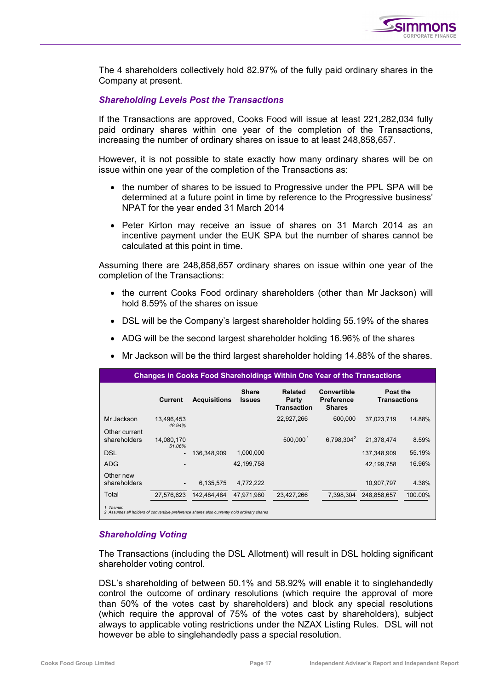

The 4 shareholders collectively hold 82.97% of the fully paid ordinary shares in the Company at present.

#### *Shareholding Levels Post the Transactions*

If the Transactions are approved, Cooks Food will issue at least 221,282,034 fully paid ordinary shares within one year of the completion of the Transactions, increasing the number of ordinary shares on issue to at least 248,858,657.

However, it is not possible to state exactly how many ordinary shares will be on issue within one year of the completion of the Transactions as:

- the number of shares to be issued to Progressive under the PPL SPA will be determined at a future point in time by reference to the Progressive business' NPAT for the year ended 31 March 2014
- Peter Kirton may receive an issue of shares on 31 March 2014 as an incentive payment under the EUK SPA but the number of shares cannot be calculated at this point in time.

Assuming there are 248,858,657 ordinary shares on issue within one year of the completion of the Transactions:

- the current Cooks Food ordinary shareholders (other than Mr Jackson) will hold 8.59% of the shares on issue
- DSL will be the Company's largest shareholder holding 55.19% of the shares
- ADG will be the second largest shareholder holding 16.96% of the shares
- Mr Jackson will be the third largest shareholder holding 14.88% of the shares.

|                                                                                                        | <b>Changes in Cooks Food Shareholdings Within One Year of the Transactions</b> |                     |                               |                                               |                                                   |                                 |         |  |  |  |
|--------------------------------------------------------------------------------------------------------|--------------------------------------------------------------------------------|---------------------|-------------------------------|-----------------------------------------------|---------------------------------------------------|---------------------------------|---------|--|--|--|
|                                                                                                        | Current                                                                        | <b>Acquisitions</b> | <b>Share</b><br><b>Issues</b> | <b>Related</b><br>Party<br><b>Transaction</b> | Convertible<br><b>Preference</b><br><b>Shares</b> | Post the<br><b>Transactions</b> |         |  |  |  |
| Mr Jackson                                                                                             | 13.496.453<br>48.94%                                                           |                     |                               | 22,927,266                                    | 600.000                                           | 37.023.719                      | 14.88%  |  |  |  |
| Other current<br>shareholders                                                                          | 14.080.170<br>51.06%                                                           |                     |                               | 500.000 <sup>1</sup>                          | 6.798.304 <sup>2</sup>                            | 21.378.474                      | 8.59%   |  |  |  |
| <b>DSL</b>                                                                                             |                                                                                | 136.348.909         | 1,000,000                     |                                               |                                                   | 137.348.909                     | 55.19%  |  |  |  |
| <b>ADG</b>                                                                                             |                                                                                |                     | 42.199.758                    |                                               |                                                   | 42,199,758                      | 16.96%  |  |  |  |
| Other new<br>shareholders                                                                              | $\overline{\phantom{a}}$                                                       | 6.135.575           | 4.772.222                     |                                               |                                                   | 10,907,797                      | 4.38%   |  |  |  |
| Total                                                                                                  | 27,576,623                                                                     | 142.484.484         | 47.971.980                    | 23,427,266                                    | 7,398,304                                         | 248,858,657                     | 100.00% |  |  |  |
| 1 Tasman<br>2 Assumes all holders of convertible preference shares also currently hold ordinary shares |                                                                                |                     |                               |                                               |                                                   |                                 |         |  |  |  |

## *Shareholding Voting*

The Transactions (including the DSL Allotment) will result in DSL holding significant shareholder voting control.

DSL's shareholding of between 50.1% and 58.92% will enable it to singlehandedly control the outcome of ordinary resolutions (which require the approval of more than 50% of the votes cast by shareholders) and block any special resolutions (which require the approval of 75% of the votes cast by shareholders), subject always to applicable voting restrictions under the NZAX Listing Rules. DSL will not however be able to singlehandedly pass a special resolution.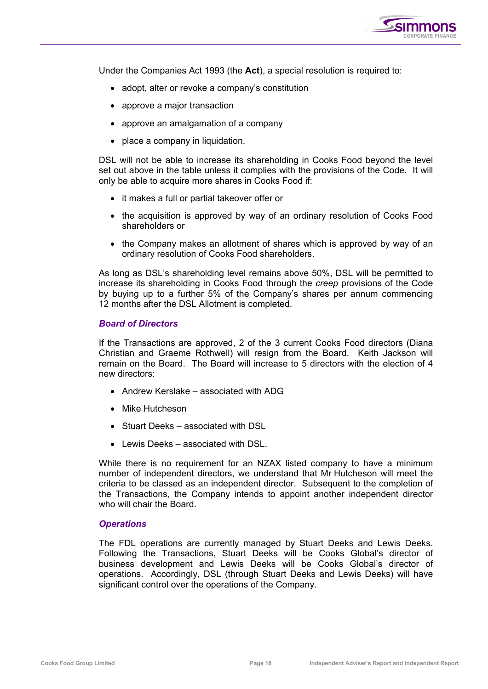

Under the Companies Act 1993 (the **Act**), a special resolution is required to:

- adopt, alter or revoke a company's constitution
- approve a major transaction
- approve an amalgamation of a company
- place a company in liquidation.

DSL will not be able to increase its shareholding in Cooks Food beyond the level set out above in the table unless it complies with the provisions of the Code. It will only be able to acquire more shares in Cooks Food if:

- it makes a full or partial takeover offer or
- the acquisition is approved by way of an ordinary resolution of Cooks Food shareholders or
- the Company makes an allotment of shares which is approved by way of an ordinary resolution of Cooks Food shareholders.

As long as DSL's shareholding level remains above 50%, DSL will be permitted to increase its shareholding in Cooks Food through the *creep* provisions of the Code by buying up to a further 5% of the Company's shares per annum commencing 12 months after the DSL Allotment is completed.

#### *Board of Directors*

If the Transactions are approved, 2 of the 3 current Cooks Food directors (Diana Christian and Graeme Rothwell) will resign from the Board. Keith Jackson will remain on the Board. The Board will increase to 5 directors with the election of 4 new directors:

- Andrew Kerslake associated with ADG
- Mike Hutcheson
- Stuart Deeks associated with DSL
- Lewis Deeks associated with DSL.

While there is no requirement for an NZAX listed company to have a minimum number of independent directors, we understand that Mr Hutcheson will meet the criteria to be classed as an independent director. Subsequent to the completion of the Transactions, the Company intends to appoint another independent director who will chair the Board.

#### *Operations*

The FDL operations are currently managed by Stuart Deeks and Lewis Deeks. Following the Transactions, Stuart Deeks will be Cooks Global's director of business development and Lewis Deeks will be Cooks Global's director of operations. Accordingly, DSL (through Stuart Deeks and Lewis Deeks) will have significant control over the operations of the Company.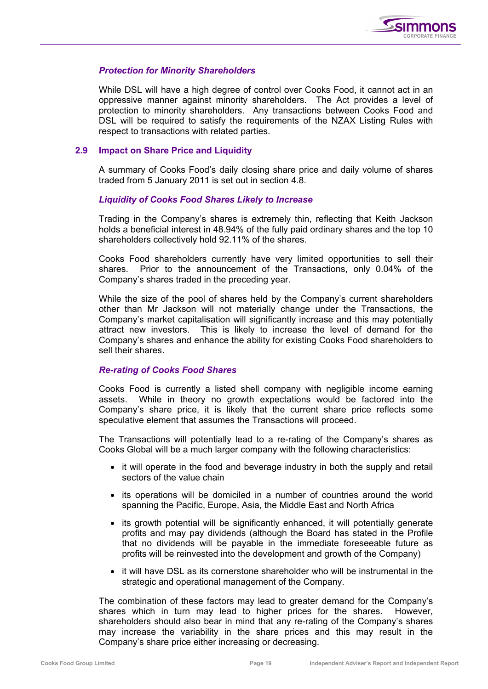

## *Protection for Minority Shareholders*

While DSL will have a high degree of control over Cooks Food, it cannot act in an oppressive manner against minority shareholders. The Act provides a level of protection to minority shareholders. Any transactions between Cooks Food and DSL will be required to satisfy the requirements of the NZAX Listing Rules with respect to transactions with related parties.

## **2.9 Impact on Share Price and Liquidity**

A summary of Cooks Food's daily closing share price and daily volume of shares traded from 5 January 2011 is set out in section 4.8.

## *Liquidity of Cooks Food Shares Likely to Increase*

Trading in the Company's shares is extremely thin, reflecting that Keith Jackson holds a beneficial interest in 48.94% of the fully paid ordinary shares and the top 10 shareholders collectively hold 92.11% of the shares.

Cooks Food shareholders currently have very limited opportunities to sell their shares. Prior to the announcement of the Transactions, only 0.04% of the Company's shares traded in the preceding year.

While the size of the pool of shares held by the Company's current shareholders other than Mr Jackson will not materially change under the Transactions, the Company's market capitalisation will significantly increase and this may potentially attract new investors. This is likely to increase the level of demand for the Company's shares and enhance the ability for existing Cooks Food shareholders to sell their shares.

## *Re-rating of Cooks Food Shares*

Cooks Food is currently a listed shell company with negligible income earning assets. While in theory no growth expectations would be factored into the Company's share price, it is likely that the current share price reflects some speculative element that assumes the Transactions will proceed.

The Transactions will potentially lead to a re-rating of the Company's shares as Cooks Global will be a much larger company with the following characteristics:

- it will operate in the food and beverage industry in both the supply and retail sectors of the value chain
- its operations will be domiciled in a number of countries around the world spanning the Pacific, Europe, Asia, the Middle East and North Africa
- its growth potential will be significantly enhanced, it will potentially generate profits and may pay dividends (although the Board has stated in the Profile that no dividends will be payable in the immediate foreseeable future as profits will be reinvested into the development and growth of the Company)
- it will have DSL as its cornerstone shareholder who will be instrumental in the strategic and operational management of the Company.

The combination of these factors may lead to greater demand for the Company's shares which in turn may lead to higher prices for the shares. However, shareholders should also bear in mind that any re-rating of the Company's shares may increase the variability in the share prices and this may result in the Company's share price either increasing or decreasing.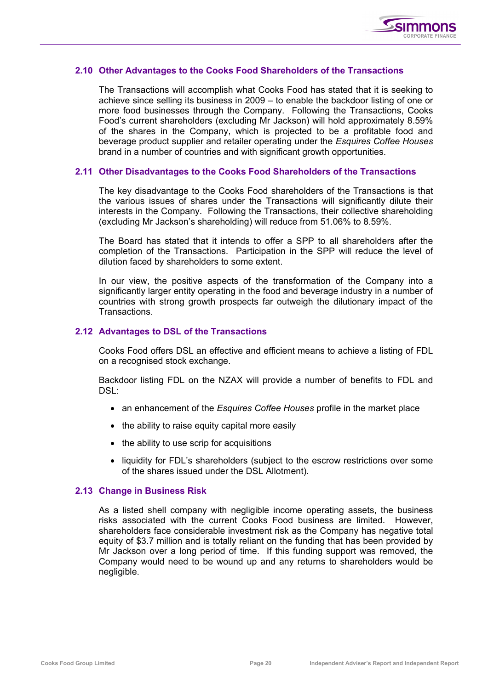

#### **2.10 Other Advantages to the Cooks Food Shareholders of the Transactions**

The Transactions will accomplish what Cooks Food has stated that it is seeking to achieve since selling its business in 2009 – to enable the backdoor listing of one or more food businesses through the Company. Following the Transactions, Cooks Food's current shareholders (excluding Mr Jackson) will hold approximately 8.59% of the shares in the Company, which is projected to be a profitable food and beverage product supplier and retailer operating under the *Esquires Coffee Houses*  brand in a number of countries and with significant growth opportunities.

#### **2.11 Other Disadvantages to the Cooks Food Shareholders of the Transactions**

The key disadvantage to the Cooks Food shareholders of the Transactions is that the various issues of shares under the Transactions will significantly dilute their interests in the Company. Following the Transactions, their collective shareholding (excluding Mr Jackson's shareholding) will reduce from 51.06% to 8.59%.

The Board has stated that it intends to offer a SPP to all shareholders after the completion of the Transactions. Participation in the SPP will reduce the level of dilution faced by shareholders to some extent.

In our view, the positive aspects of the transformation of the Company into a significantly larger entity operating in the food and beverage industry in a number of countries with strong growth prospects far outweigh the dilutionary impact of the **Transactions** 

## **2.12 Advantages to DSL of the Transactions**

Cooks Food offers DSL an effective and efficient means to achieve a listing of FDL on a recognised stock exchange.

Backdoor listing FDL on the NZAX will provide a number of benefits to FDL and  $DSL$ :

- an enhancement of the *Esquires Coffee Houses* profile in the market place
- the ability to raise equity capital more easily
- the ability to use scrip for acquisitions
- liquidity for FDL's shareholders (subject to the escrow restrictions over some of the shares issued under the DSL Allotment).

## **2.13 Change in Business Risk**

As a listed shell company with negligible income operating assets, the business risks associated with the current Cooks Food business are limited. However, shareholders face considerable investment risk as the Company has negative total equity of \$3.7 million and is totally reliant on the funding that has been provided by Mr Jackson over a long period of time. If this funding support was removed, the Company would need to be wound up and any returns to shareholders would be negligible.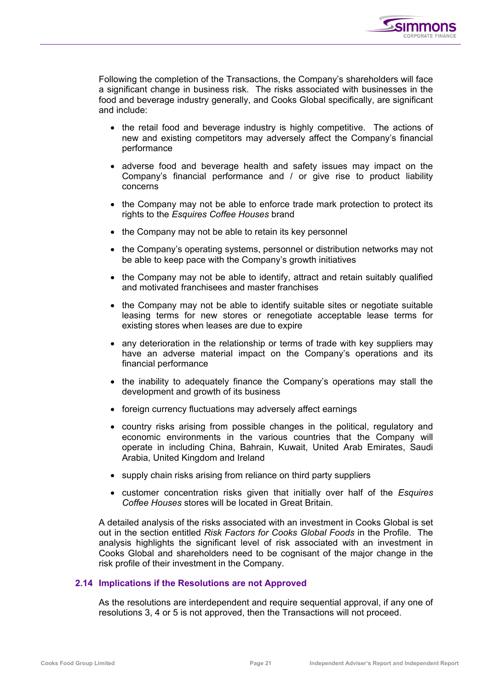

Following the completion of the Transactions, the Company's shareholders will face a significant change in business risk. The risks associated with businesses in the food and beverage industry generally, and Cooks Global specifically, are significant and include:

- the retail food and beverage industry is highly competitive. The actions of new and existing competitors may adversely affect the Company's financial performance
- adverse food and beverage health and safety issues may impact on the Company's financial performance and / or give rise to product liability concerns
- the Company may not be able to enforce trade mark protection to protect its rights to the *Esquires Coffee Houses* brand
- the Company may not be able to retain its key personnel
- the Company's operating systems, personnel or distribution networks may not be able to keep pace with the Company's growth initiatives
- the Company may not be able to identify, attract and retain suitably qualified and motivated franchisees and master franchises
- the Company may not be able to identify suitable sites or negotiate suitable leasing terms for new stores or renegotiate acceptable lease terms for existing stores when leases are due to expire
- any deterioration in the relationship or terms of trade with key suppliers may have an adverse material impact on the Company's operations and its financial performance
- the inability to adequately finance the Company's operations may stall the development and growth of its business
- foreign currency fluctuations may adversely affect earnings
- country risks arising from possible changes in the political, regulatory and economic environments in the various countries that the Company will operate in including China, Bahrain, Kuwait, United Arab Emirates, Saudi Arabia, United Kingdom and Ireland
- supply chain risks arising from reliance on third party suppliers
- customer concentration risks given that initially over half of the *Esquires Coffee Houses* stores will be located in Great Britain.

A detailed analysis of the risks associated with an investment in Cooks Global is set out in the section entitled *Risk Factors for Cooks Global Foods* in the Profile. The analysis highlights the significant level of risk associated with an investment in Cooks Global and shareholders need to be cognisant of the major change in the risk profile of their investment in the Company.

## **2.14 Implications if the Resolutions are not Approved**

As the resolutions are interdependent and require sequential approval, if any one of resolutions 3, 4 or 5 is not approved, then the Transactions will not proceed.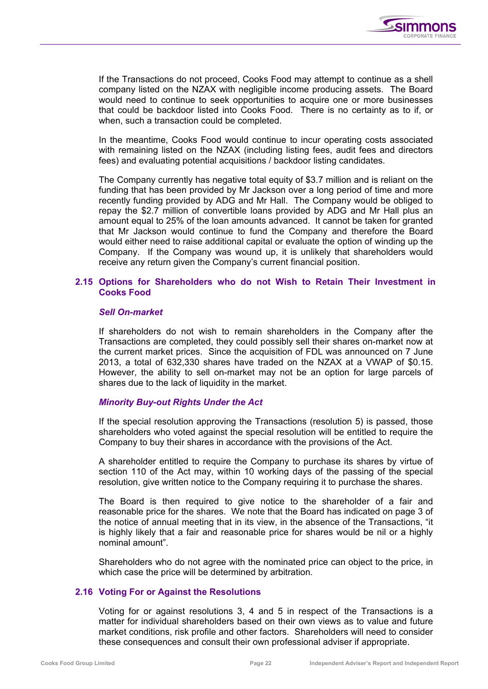

If the Transactions do not proceed, Cooks Food may attempt to continue as a shell company listed on the NZAX with negligible income producing assets. The Board would need to continue to seek opportunities to acquire one or more businesses that could be backdoor listed into Cooks Food. There is no certainty as to if, or when, such a transaction could be completed.

In the meantime, Cooks Food would continue to incur operating costs associated with remaining listed on the NZAX (including listing fees, audit fees and directors fees) and evaluating potential acquisitions / backdoor listing candidates.

The Company currently has negative total equity of \$3.7 million and is reliant on the funding that has been provided by Mr Jackson over a long period of time and more recently funding provided by ADG and Mr Hall. The Company would be obliged to repay the \$2.7 million of convertible loans provided by ADG and Mr Hall plus an amount equal to 25% of the loan amounts advanced. It cannot be taken for granted that Mr Jackson would continue to fund the Company and therefore the Board would either need to raise additional capital or evaluate the option of winding up the Company. If the Company was wound up, it is unlikely that shareholders would receive any return given the Company's current financial position.

## **2.15 Options for Shareholders who do not Wish to Retain Their Investment in Cooks Food**

## *Sell On-market*

If shareholders do not wish to remain shareholders in the Company after the Transactions are completed, they could possibly sell their shares on-market now at the current market prices. Since the acquisition of FDL was announced on 7 June 2013, a total of 632,330 shares have traded on the NZAX at a VWAP of \$0.15. However, the ability to sell on-market may not be an option for large parcels of shares due to the lack of liquidity in the market.

## *Minority Buy-out Rights Under the Act*

If the special resolution approving the Transactions (resolution 5) is passed, those shareholders who voted against the special resolution will be entitled to require the Company to buy their shares in accordance with the provisions of the Act.

A shareholder entitled to require the Company to purchase its shares by virtue of section 110 of the Act may, within 10 working days of the passing of the special resolution, give written notice to the Company requiring it to purchase the shares.

The Board is then required to give notice to the shareholder of a fair and reasonable price for the shares. We note that the Board has indicated on page 3 of the notice of annual meeting that in its view, in the absence of the Transactions, "it is highly likely that a fair and reasonable price for shares would be nil or a highly nominal amount".

Shareholders who do not agree with the nominated price can object to the price, in which case the price will be determined by arbitration.

## **2.16 Voting For or Against the Resolutions**

Voting for or against resolutions 3, 4 and 5 in respect of the Transactions is a matter for individual shareholders based on their own views as to value and future market conditions, risk profile and other factors. Shareholders will need to consider these consequences and consult their own professional adviser if appropriate.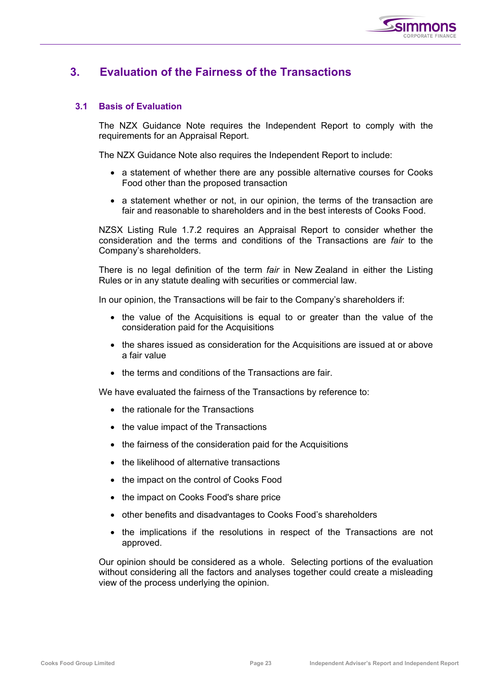

# **3. Evaluation of the Fairness of the Transactions**

## **3.1 Basis of Evaluation**

The NZX Guidance Note requires the Independent Report to comply with the requirements for an Appraisal Report.

The NZX Guidance Note also requires the Independent Report to include:

- a statement of whether there are any possible alternative courses for Cooks Food other than the proposed transaction
- a statement whether or not, in our opinion, the terms of the transaction are fair and reasonable to shareholders and in the best interests of Cooks Food.

NZSX Listing Rule 1.7.2 requires an Appraisal Report to consider whether the consideration and the terms and conditions of the Transactions are *fair* to the Company's shareholders.

There is no legal definition of the term *fair* in New Zealand in either the Listing Rules or in any statute dealing with securities or commercial law.

In our opinion, the Transactions will be fair to the Company's shareholders if:

- the value of the Acquisitions is equal to or greater than the value of the consideration paid for the Acquisitions
- the shares issued as consideration for the Acquisitions are issued at or above a fair value
- the terms and conditions of the Transactions are fair.

We have evaluated the fairness of the Transactions by reference to:

- the rationale for the Transactions
- the value impact of the Transactions
- the fairness of the consideration paid for the Acquisitions
- the likelihood of alternative transactions
- the impact on the control of Cooks Food
- the impact on Cooks Food's share price
- other benefits and disadvantages to Cooks Food's shareholders
- the implications if the resolutions in respect of the Transactions are not approved.

Our opinion should be considered as a whole. Selecting portions of the evaluation without considering all the factors and analyses together could create a misleading view of the process underlying the opinion.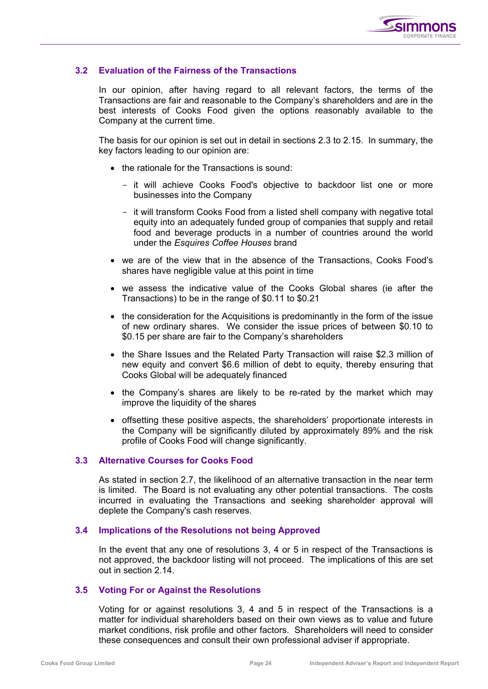

## **3.2 Evaluation of the Fairness of the Transactions**

In our opinion, after having regard to all relevant factors, the terms of the Transactions are fair and reasonable to the Company's shareholders and are in the best interests of Cooks Food given the options reasonably available to the Company at the current time.

The basis for our opinion is set out in detail in sections 2.3 to 2.15. In summary, the key factors leading to our opinion are:

- the rationale for the Transactions is sound:
	- it will achieve Cooks Food's objective to backdoor list one or more businesses into the Company
	- it will transform Cooks Food from a listed shell company with negative total equity into an adequately funded group of companies that supply and retail food and beverage products in a number of countries around the world under the *Esquires Coffee Houses* brand
- we are of the view that in the absence of the Transactions, Cooks Food's shares have negligible value at this point in time
- we assess the indicative value of the Cooks Global shares (ie after the Transactions) to be in the range of \$0.11 to \$0.21
- the consideration for the Acquisitions is predominantly in the form of the issue of new ordinary shares. We consider the issue prices of between \$0.10 to \$0.15 per share are fair to the Company's shareholders
- the Share Issues and the Related Party Transaction will raise \$2.3 million of new equity and convert \$6.6 million of debt to equity, thereby ensuring that Cooks Global will be adequately financed
- the Company's shares are likely to be re-rated by the market which may improve the liquidity of the shares
- offsetting these positive aspects, the shareholders' proportionate interests in the Company will be significantly diluted by approximately 89% and the risk profile of Cooks Food will change significantly.

## **3.3 Alternative Courses for Cooks Food**

As stated in section 2.7, the likelihood of an alternative transaction in the near term is limited. The Board is not evaluating any other potential transactions. The costs incurred in evaluating the Transactions and seeking shareholder approval will deplete the Company's cash reserves.

## **3.4 Implications of the Resolutions not being Approved**

In the event that any one of resolutions 3, 4 or 5 in respect of the Transactions is not approved, the backdoor listing will not proceed. The implications of this are set out in section 2.14.

## **3.5 Voting For or Against the Resolutions**

Voting for or against resolutions 3, 4 and 5 in respect of the Transactions is a matter for individual shareholders based on their own views as to value and future market conditions, risk profile and other factors. Shareholders will need to consider these consequences and consult their own professional adviser if appropriate.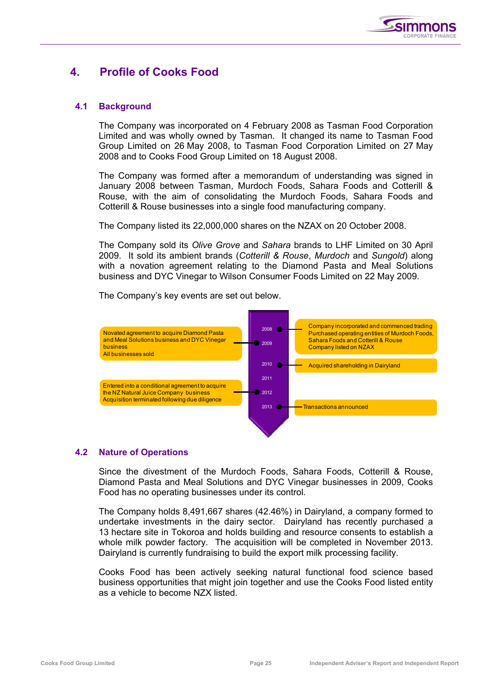

# **4. Profile of Cooks Food**

## **4.1 Background**

The Company was incorporated on 4 February 2008 as Tasman Food Corporation Limited and was wholly owned by Tasman. It changed its name to Tasman Food Group Limited on 26 May 2008, to Tasman Food Corporation Limited on 27 May 2008 and to Cooks Food Group Limited on 18 August 2008.

The Company was formed after a memorandum of understanding was signed in January 2008 between Tasman, Murdoch Foods, Sahara Foods and Cotterill & Rouse, with the aim of consolidating the Murdoch Foods, Sahara Foods and Cotterill & Rouse businesses into a single food manufacturing company.

The Company listed its 22,000,000 shares on the NZAX on 20 October 2008.

The Company sold its *Olive Grove* and *Sahara* brands to LHF Limited on 30 April 2009. It sold its ambient brands (*Cotterill & Rouse*, *Murdoch* and *Sungold*) along with a novation agreement relating to the Diamond Pasta and Meal Solutions business and DYC Vinegar to Wilson Consumer Foods Limited on 22 May 2009.



The Company's key events are set out below.

## **4.2 Nature of Operations**

Since the divestment of the Murdoch Foods, Sahara Foods, Cotterill & Rouse, Diamond Pasta and Meal Solutions and DYC Vinegar businesses in 2009, Cooks Food has no operating businesses under its control.

The Company holds 8,491,667 shares (42.46%) in Dairyland, a company formed to undertake investments in the dairy sector. Dairyland has recently purchased a 13 hectare site in Tokoroa and holds building and resource consents to establish a whole milk powder factory. The acquisition will be completed in November 2013. Dairyland is currently fundraising to build the export milk processing facility.

Cooks Food has been actively seeking natural functional food science based business opportunities that might join together and use the Cooks Food listed entity as a vehicle to become NZX listed.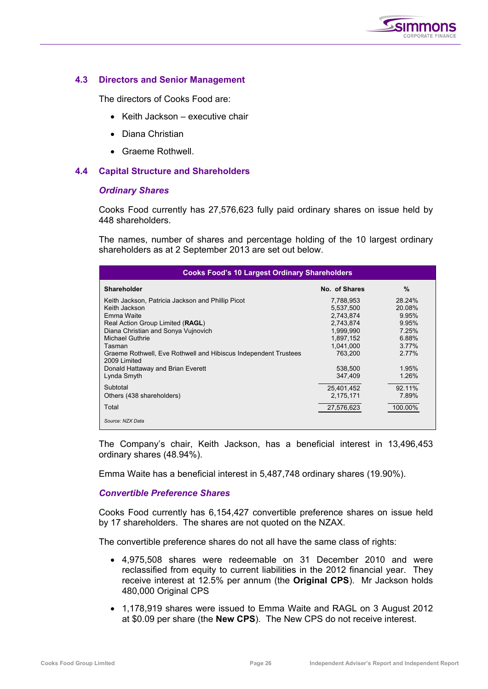

## **4.3 Directors and Senior Management**

The directors of Cooks Food are:

- Keith Jackson executive chair
- Diana Christian
- Graeme Rothwell.

## **4.4 Capital Structure and Shareholders**

#### *Ordinary Shares*

Cooks Food currently has 27,576,623 fully paid ordinary shares on issue held by 448 shareholders.

The names, number of shares and percentage holding of the 10 largest ordinary shareholders as at 2 September 2013 are set out below.

| <b>Cooks Food's 10 Largest Ordinary Shareholders</b>                            |               |               |  |  |  |  |  |
|---------------------------------------------------------------------------------|---------------|---------------|--|--|--|--|--|
| <b>Shareholder</b>                                                              | No. of Shares | $\frac{0}{0}$ |  |  |  |  |  |
| Keith Jackson, Patricia Jackson and Phillip Picot                               | 7,788,953     | 28.24%        |  |  |  |  |  |
| Keith Jackson                                                                   | 5,537,500     | 20.08%        |  |  |  |  |  |
| Emma Waite                                                                      | 2,743,874     | 9.95%         |  |  |  |  |  |
| Real Action Group Limited (RAGL)                                                | 2,743,874     | 9.95%         |  |  |  |  |  |
| Diana Christian and Sonya Vujnovich                                             | 1,999,990     | 7.25%         |  |  |  |  |  |
| <b>Michael Guthrie</b>                                                          | 1,897,152     | 6.88%         |  |  |  |  |  |
| Tasman                                                                          | 1,041,000     | 3.77%         |  |  |  |  |  |
| Graeme Rothwell, Eve Rothwell and Hibiscus Independent Trustees<br>2009 Limited | 763.200       | 2.77%         |  |  |  |  |  |
| Donald Hattaway and Brian Everett                                               | 538,500       | 1.95%         |  |  |  |  |  |
| Lynda Smyth                                                                     | 347,409       | 1.26%         |  |  |  |  |  |
| Subtotal                                                                        | 25,401,452    | 92.11%        |  |  |  |  |  |
| Others (438 shareholders)                                                       | 2,175,171     | 7.89%         |  |  |  |  |  |
| Total                                                                           | 27,576,623    | 100.00%       |  |  |  |  |  |
| Source: NZX Data                                                                |               |               |  |  |  |  |  |

The Company's chair, Keith Jackson, has a beneficial interest in 13,496,453 ordinary shares (48.94%).

Emma Waite has a beneficial interest in 5,487,748 ordinary shares (19.90%).

## *Convertible Preference Shares*

Cooks Food currently has 6,154,427 convertible preference shares on issue held by 17 shareholders. The shares are not quoted on the NZAX.

The convertible preference shares do not all have the same class of rights:

- 4,975,508 shares were redeemable on 31 December 2010 and were reclassified from equity to current liabilities in the 2012 financial year. They receive interest at 12.5% per annum (the **Original CPS**). Mr Jackson holds 480,000 Original CPS
- 1,178,919 shares were issued to Emma Waite and RAGL on 3 August 2012 at \$0.09 per share (the **New CPS**). The New CPS do not receive interest.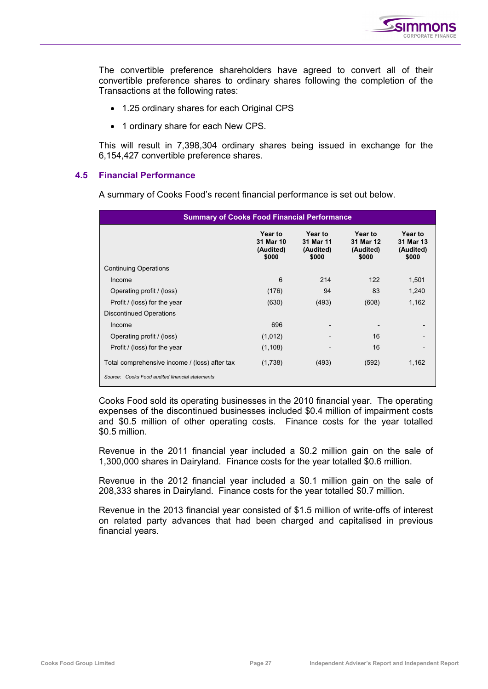

The convertible preference shareholders have agreed to convert all of their convertible preference shares to ordinary shares following the completion of the Transactions at the following rates:

- 1.25 ordinary shares for each Original CPS
- 1 ordinary share for each New CPS.

This will result in 7,398,304 ordinary shares being issued in exchange for the 6,154,427 convertible preference shares.

## **4.5 Financial Performance**

A summary of Cooks Food's recent financial performance is set out below.

| <b>Summary of Cooks Food Financial Performance</b>                                               |                                            |                                            |                                            |                                            |  |  |  |
|--------------------------------------------------------------------------------------------------|--------------------------------------------|--------------------------------------------|--------------------------------------------|--------------------------------------------|--|--|--|
|                                                                                                  | Year to<br>31 Mar 10<br>(Audited)<br>\$000 | Year to<br>31 Mar 11<br>(Audited)<br>\$000 | Year to<br>31 Mar 12<br>(Audited)<br>\$000 | Year to<br>31 Mar 13<br>(Audited)<br>\$000 |  |  |  |
| <b>Continuing Operations</b>                                                                     |                                            |                                            |                                            |                                            |  |  |  |
| Income                                                                                           | 6                                          | 214                                        | 122                                        | 1,501                                      |  |  |  |
| Operating profit / (loss)                                                                        | (176)                                      | 94                                         | 83                                         | 1,240                                      |  |  |  |
| Profit / (loss) for the year                                                                     | (630)                                      | (493)                                      | (608)                                      | 1,162                                      |  |  |  |
| <b>Discontinued Operations</b>                                                                   |                                            |                                            |                                            |                                            |  |  |  |
| Income                                                                                           | 696                                        |                                            |                                            |                                            |  |  |  |
| Operating profit / (loss)                                                                        | (1,012)                                    |                                            | 16                                         |                                            |  |  |  |
| Profit / (loss) for the year                                                                     | (1, 108)                                   |                                            | 16                                         |                                            |  |  |  |
| Total comprehensive income / (loss) after tax<br>Source: Cooks Food audited financial statements | (1,738)                                    | (493)                                      | (592)                                      | 1,162                                      |  |  |  |
|                                                                                                  |                                            |                                            |                                            |                                            |  |  |  |

Cooks Food sold its operating businesses in the 2010 financial year. The operating expenses of the discontinued businesses included \$0.4 million of impairment costs and \$0.5 million of other operating costs. Finance costs for the year totalled \$0.5 million.

Revenue in the 2011 financial year included a \$0.2 million gain on the sale of 1,300,000 shares in Dairyland. Finance costs for the year totalled \$0.6 million.

Revenue in the 2012 financial year included a \$0.1 million gain on the sale of 208,333 shares in Dairyland. Finance costs for the year totalled \$0.7 million.

Revenue in the 2013 financial year consisted of \$1.5 million of write-offs of interest on related party advances that had been charged and capitalised in previous financial years.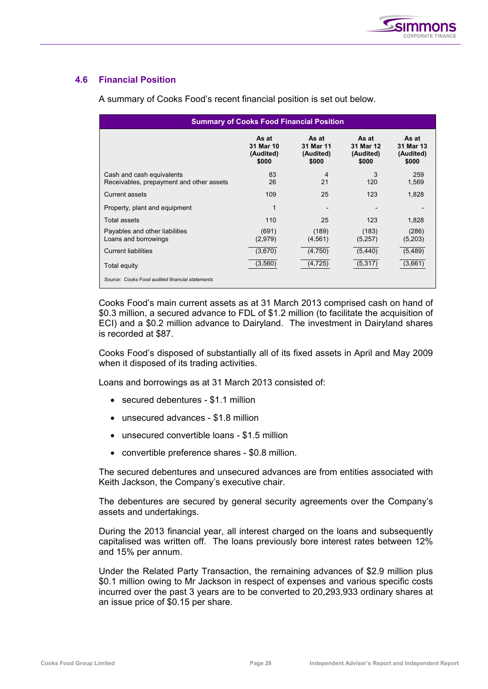

## **4.6 Financial Position**

| <b>Summary of Cooks Food Financial Position</b>                       |                                          |                                          |                                          |                                          |  |  |  |  |
|-----------------------------------------------------------------------|------------------------------------------|------------------------------------------|------------------------------------------|------------------------------------------|--|--|--|--|
|                                                                       | As at<br>31 Mar 10<br>(Audited)<br>\$000 | As at<br>31 Mar 11<br>(Audited)<br>\$000 | As at<br>31 Mar 12<br>(Audited)<br>\$000 | As at<br>31 Mar 13<br>(Audited)<br>\$000 |  |  |  |  |
| Cash and cash equivalents<br>Receivables, prepayment and other assets | 83<br>26                                 | 4<br>21                                  | 3<br>120                                 | 259<br>1,569                             |  |  |  |  |
| Current assets                                                        | 109                                      | 25                                       | 123                                      | 1,828                                    |  |  |  |  |
| Property, plant and equipment                                         |                                          |                                          |                                          |                                          |  |  |  |  |
| Total assets                                                          | 110                                      | 25                                       | 123                                      | 1,828                                    |  |  |  |  |
| Payables and other liabilities<br>Loans and borrowings                | (691)<br>(2,979)                         | (189)<br>(4, 561)                        | (183)<br>(5,257)                         | (286)<br>(5,203)                         |  |  |  |  |
| <b>Current liabilities</b>                                            | (3,670)                                  | (4,750)                                  | (5, 440)                                 | (5,489)                                  |  |  |  |  |
| Total equity                                                          | (3, 560)                                 | (4, 725)                                 | (5,317)                                  | (3,661)                                  |  |  |  |  |
| Source: Cooks Food audited financial statements                       |                                          |                                          |                                          |                                          |  |  |  |  |

A summary of Cooks Food's recent financial position is set out below.

Cooks Food's main current assets as at 31 March 2013 comprised cash on hand of \$0.3 million, a secured advance to FDL of \$1.2 million (to facilitate the acquisition of ECI) and a \$0.2 million advance to Dairyland. The investment in Dairyland shares is recorded at \$87.

Cooks Food's disposed of substantially all of its fixed assets in April and May 2009 when it disposed of its trading activities.

Loans and borrowings as at 31 March 2013 consisted of:

- secured debentures \$1.1 million
- unsecured advances \$1.8 million
- unsecured convertible loans \$1.5 million
- convertible preference shares \$0.8 million.

The secured debentures and unsecured advances are from entities associated with Keith Jackson, the Company's executive chair.

The debentures are secured by general security agreements over the Company's assets and undertakings.

During the 2013 financial year, all interest charged on the loans and subsequently capitalised was written off. The loans previously bore interest rates between 12% and 15% per annum.

Under the Related Party Transaction, the remaining advances of \$2.9 million plus \$0.1 million owing to Mr Jackson in respect of expenses and various specific costs incurred over the past 3 years are to be converted to 20,293,933 ordinary shares at an issue price of \$0.15 per share.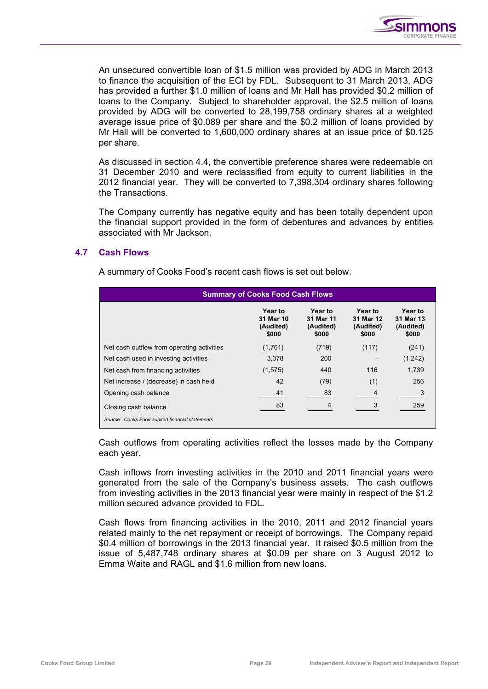

An unsecured convertible loan of \$1.5 million was provided by ADG in March 2013 to finance the acquisition of the ECI by FDL. Subsequent to 31 March 2013, ADG has provided a further \$1.0 million of loans and Mr Hall has provided \$0.2 million of loans to the Company. Subject to shareholder approval, the \$2.5 million of loans provided by ADG will be converted to 28,199,758 ordinary shares at a weighted average issue price of \$0.089 per share and the \$0.2 million of loans provided by Mr Hall will be converted to 1,600,000 ordinary shares at an issue price of \$0.125 per share.

As discussed in section 4.4, the convertible preference shares were redeemable on 31 December 2010 and were reclassified from equity to current liabilities in the 2012 financial year. They will be converted to 7,398,304 ordinary shares following the Transactions.

The Company currently has negative equity and has been totally dependent upon the financial support provided in the form of debentures and advances by entities associated with Mr Jackson.

## **4.7 Cash Flows**

A summary of Cooks Food's recent cash flows is set out below.

| <b>Summary of Cooks Food Cash Flows</b>                                 |                                            |                                            |                                            |                                            |  |  |  |
|-------------------------------------------------------------------------|--------------------------------------------|--------------------------------------------|--------------------------------------------|--------------------------------------------|--|--|--|
|                                                                         | Year to<br>31 Mar 10<br>(Audited)<br>\$000 | Year to<br>31 Mar 11<br>(Audited)<br>\$000 | Year to<br>31 Mar 12<br>(Audited)<br>\$000 | Year to<br>31 Mar 13<br>(Audited)<br>\$000 |  |  |  |
| Net cash outflow from operating activities                              | (1,761)                                    | (719)                                      | (117)                                      | (241)                                      |  |  |  |
| Net cash used in investing activities                                   | 3.378                                      | 200                                        |                                            | (1,242)                                    |  |  |  |
| Net cash from financing activities                                      | (1,575)                                    | 440                                        | 116                                        | 1,739                                      |  |  |  |
| Net increase / (decrease) in cash held                                  | 42                                         | (79)                                       | (1)                                        | 256                                        |  |  |  |
| Opening cash balance                                                    | 41                                         | 83                                         | 4                                          |                                            |  |  |  |
| Closing cash balance<br>Source: Cooks Food audited financial statements | 83                                         | 4                                          |                                            | 259                                        |  |  |  |

Cash outflows from operating activities reflect the losses made by the Company each year.

Cash inflows from investing activities in the 2010 and 2011 financial years were generated from the sale of the Company's business assets. The cash outflows from investing activities in the 2013 financial year were mainly in respect of the \$1.2 million secured advance provided to FDL.

Cash flows from financing activities in the 2010, 2011 and 2012 financial years related mainly to the net repayment or receipt of borrowings. The Company repaid \$0.4 million of borrowings in the 2013 financial year. It raised \$0.5 million from the issue of 5,487,748 ordinary shares at \$0.09 per share on 3 August 2012 to Emma Waite and RAGL and \$1.6 million from new loans.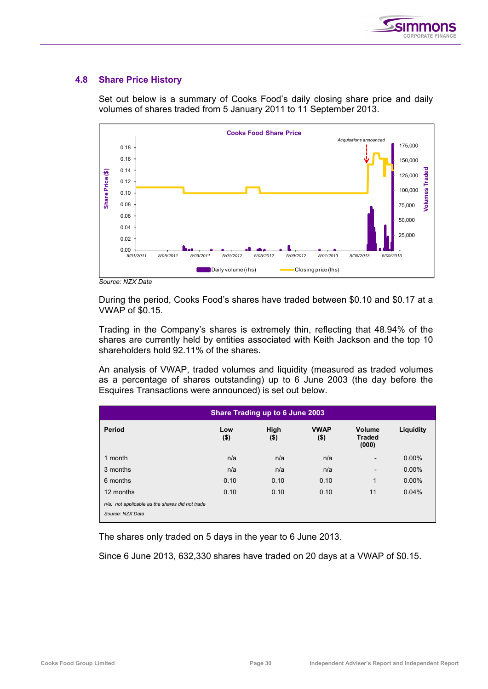

## **4.8 Share Price History**



Set out below is a summary of Cooks Food's daily closing share price and daily volumes of shares traded from 5 January 2011 to 11 September 2013.

*Source: NZX Data* 

During the period, Cooks Food's shares have traded between \$0.10 and \$0.17 at a VWAP of \$0.15.

Trading in the Company's shares is extremely thin, reflecting that 48.94% of the shares are currently held by entities associated with Keith Jackson and the top 10 shareholders hold 92.11% of the shares.

An analysis of VWAP, traded volumes and liquidity (measured as traded volumes as a percentage of shares outstanding) up to 6 June 2003 (the day before the Esquires Transactions were announced) is set out below.

| Share Trading up to 6 June 2003                                     |                |                 |                        |                                  |           |  |  |
|---------------------------------------------------------------------|----------------|-----------------|------------------------|----------------------------------|-----------|--|--|
| Period                                                              | Low<br>$($ \$) | High<br>$($ \$) | <b>VWAP</b><br>$($ \$) | Volume<br><b>Traded</b><br>(000) | Liquidity |  |  |
| 1 month                                                             | n/a            | n/a             | n/a                    | $\overline{\phantom{a}}$         | $0.00\%$  |  |  |
| 3 months                                                            | n/a            | n/a             | n/a                    | $\overline{\phantom{a}}$         | $0.00\%$  |  |  |
| 6 months                                                            | 0.10           | 0.10            | 0.10                   | $\mathbf{1}$                     | $0.00\%$  |  |  |
| 12 months                                                           | 0.10           | 0.10            | 0.10                   | 11                               | 0.04%     |  |  |
| n/a: not applicable as the shares did not trade<br>Source: NZX Data |                |                 |                        |                                  |           |  |  |

The shares only traded on 5 days in the year to 6 June 2013.

Since 6 June 2013, 632,330 shares have traded on 20 days at a VWAP of \$0.15.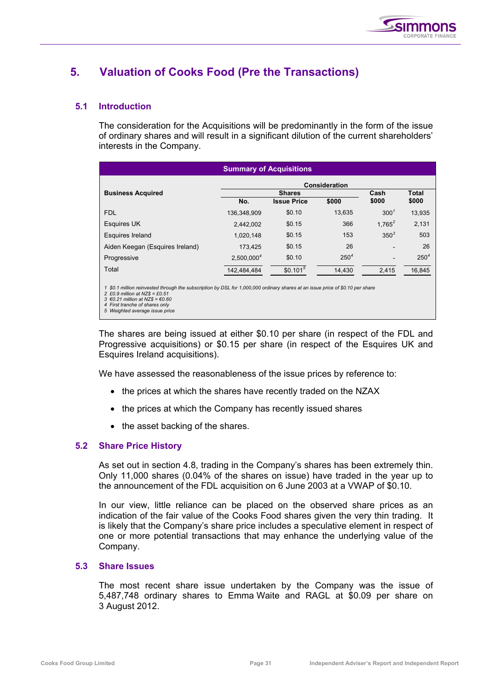

# **5. Valuation of Cooks Food (Pre the Transactions)**

## **5.1 Introduction**

The consideration for the Acquisitions will be predominantly in the form of the issue of ordinary shares and will result in a significant dilution of the current shareholders' interests in the Company.

| <b>Summary of Acquisitions</b>  |                        |                      |                  |                  |                  |  |  |
|---------------------------------|------------------------|----------------------|------------------|------------------|------------------|--|--|
| <b>Consideration</b>            |                        |                      |                  |                  |                  |  |  |
| <b>Business Acquired</b>        |                        | <b>Shares</b>        |                  | Cash             | <b>Total</b>     |  |  |
|                                 | No.                    | <b>Issue Price</b>   | \$000            | \$000            | \$000            |  |  |
| <b>FDL</b>                      | 136,348,909            | \$0.10               | 13,635           | 300 <sup>7</sup> | 13,935           |  |  |
| <b>Esquires UK</b>              | 2,442,002              | \$0.15               | 366              | $1.765^2$        | 2,131            |  |  |
| Esquires Ireland                | 1,020,148              | \$0.15               | 153              | $350^{3}$        | 503              |  |  |
| Aiden Keegan (Esquires Ireland) | 173.425                | \$0.15               | 26               |                  | 26               |  |  |
| Progressive                     | 2,500,000 <sup>4</sup> | \$0.10               | 250 <sup>4</sup> |                  | 250 <sup>4</sup> |  |  |
| Total                           | 142,484,484            | \$0.101 <sup>5</sup> | 14,430           | 2,415            | 16,845           |  |  |
|                                 |                        |                      |                  |                  |                  |  |  |

*1 \$0.1 million reinvested through the subscription by DSL for 1,000,000 ordinary shares at an issue price of \$0.10 per share* 

The shares are being issued at either \$0.10 per share (in respect of the FDL and Progressive acquisitions) or \$0.15 per share (in respect of the Esquires UK and Esquires Ireland acquisitions).

We have assessed the reasonableness of the issue prices by reference to:

- the prices at which the shares have recently traded on the NZAX
- the prices at which the Company has recently issued shares
- the asset backing of the shares.

## **5.2 Share Price History**

As set out in section 4.8, trading in the Company's shares has been extremely thin. Only 11,000 shares (0.04% of the shares on issue) have traded in the year up to the announcement of the FDL acquisition on 6 June 2003 at a VWAP of \$0.10.

In our view, little reliance can be placed on the observed share prices as an indication of the fair value of the Cooks Food shares given the very thin trading. It is likely that the Company's share price includes a speculative element in respect of one or more potential transactions that may enhance the underlying value of the Company.

## **5.3 Share Issues**

The most recent share issue undertaken by the Company was the issue of 5,487,748 ordinary shares to Emma Waite and RAGL at \$0.09 per share on 3 August 2012.

*<sup>2 £0.9</sup> million at NZ\$ = £0.51 3 €0.21 million at NZ\$ = €0.60* 

*<sup>4</sup> First tranche of shares only 5 Weighted average issue price*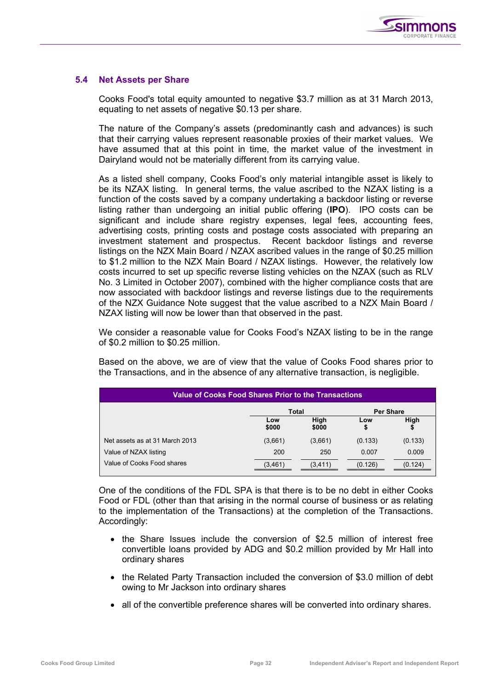

## **5.4 Net Assets per Share**

Cooks Food's total equity amounted to negative \$3.7 million as at 31 March 2013, equating to net assets of negative \$0.13 per share.

The nature of the Company's assets (predominantly cash and advances) is such that their carrying values represent reasonable proxies of their market values. We have assumed that at this point in time, the market value of the investment in Dairyland would not be materially different from its carrying value.

As a listed shell company, Cooks Food's only material intangible asset is likely to be its NZAX listing. In general terms, the value ascribed to the NZAX listing is a function of the costs saved by a company undertaking a backdoor listing or reverse listing rather than undergoing an initial public offering (**IPO**). IPO costs can be significant and include share registry expenses, legal fees, accounting fees, advertising costs, printing costs and postage costs associated with preparing an investment statement and prospectus. Recent backdoor listings and reverse listings on the NZX Main Board / NZAX ascribed values in the range of \$0.25 million to \$1.2 million to the NZX Main Board / NZAX listings. However, the relatively low costs incurred to set up specific reverse listing vehicles on the NZAX (such as RLV No. 3 Limited in October 2007), combined with the higher compliance costs that are now associated with backdoor listings and reverse listings due to the requirements of the NZX Guidance Note suggest that the value ascribed to a NZX Main Board / NZAX listing will now be lower than that observed in the past.

We consider a reasonable value for Cooks Food's NZAX listing to be in the range of \$0.2 million to \$0.25 million.

Based on the above, we are of view that the value of Cooks Food shares prior to the Transactions, and in the absence of any alternative transaction, is negligible.

| <b>Value of Cooks Food Shares Prior to the Transactions</b> |              |               |         |                  |  |
|-------------------------------------------------------------|--------------|---------------|---------|------------------|--|
|                                                             |              | Total         |         | <b>Per Share</b> |  |
|                                                             | Low<br>\$000 | High<br>\$000 | Low     | High<br>\$       |  |
| Net assets as at 31 March 2013                              | (3,661)      | (3,661)       | (0.133) | (0.133)          |  |
| Value of NZAX listing                                       | 200          | 250           | 0.007   | 0.009            |  |
| Value of Cooks Food shares                                  | (3, 461)     | (3, 411)      | (0.126) | (0.124)          |  |

One of the conditions of the FDL SPA is that there is to be no debt in either Cooks Food or FDL (other than that arising in the normal course of business or as relating to the implementation of the Transactions) at the completion of the Transactions. Accordingly:

- the Share Issues include the conversion of \$2.5 million of interest free convertible loans provided by ADG and \$0.2 million provided by Mr Hall into ordinary shares
- the Related Party Transaction included the conversion of \$3.0 million of debt owing to Mr Jackson into ordinary shares
- all of the convertible preference shares will be converted into ordinary shares.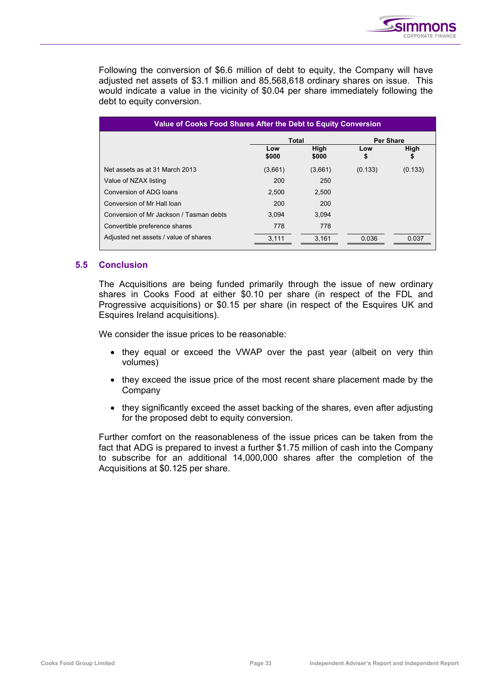

Following the conversion of \$6.6 million of debt to equity, the Company will have adjusted net assets of \$3.1 million and 85,568,618 ordinary shares on issue. This would indicate a value in the vicinity of \$0.04 per share immediately following the debt to equity conversion.

| Value of Cooks Food Shares After the Debt to Equity Conversion |              |               |         |                  |  |  |
|----------------------------------------------------------------|--------------|---------------|---------|------------------|--|--|
|                                                                |              | Total         |         | <b>Per Share</b> |  |  |
|                                                                | Low<br>\$000 | High<br>\$000 | Low     | High<br>\$       |  |  |
| Net assets as at 31 March 2013                                 | (3,661)      | (3,661)       | (0.133) | (0.133)          |  |  |
| Value of NZAX listing                                          | 200          | 250           |         |                  |  |  |
| Conversion of ADG loans                                        | 2.500        | 2,500         |         |                  |  |  |
| Conversion of Mr Hall Ioan                                     | 200          | 200           |         |                  |  |  |
| Conversion of Mr Jackson / Tasman debts                        | 3.094        | 3.094         |         |                  |  |  |
| Convertible preference shares                                  | 778          | 778           |         |                  |  |  |
| Adjusted net assets / value of shares                          | 3.111        | 3.161         | 0.036   | 0.037            |  |  |

## **5.5 Conclusion**

The Acquisitions are being funded primarily through the issue of new ordinary shares in Cooks Food at either \$0.10 per share (in respect of the FDL and Progressive acquisitions) or \$0.15 per share (in respect of the Esquires UK and Esquires Ireland acquisitions).

We consider the issue prices to be reasonable:

- they equal or exceed the VWAP over the past year (albeit on very thin volumes)
- they exceed the issue price of the most recent share placement made by the Company
- they significantly exceed the asset backing of the shares, even after adjusting for the proposed debt to equity conversion.

Further comfort on the reasonableness of the issue prices can be taken from the fact that ADG is prepared to invest a further \$1.75 million of cash into the Company to subscribe for an additional 14,000,000 shares after the completion of the Acquisitions at \$0.125 per share.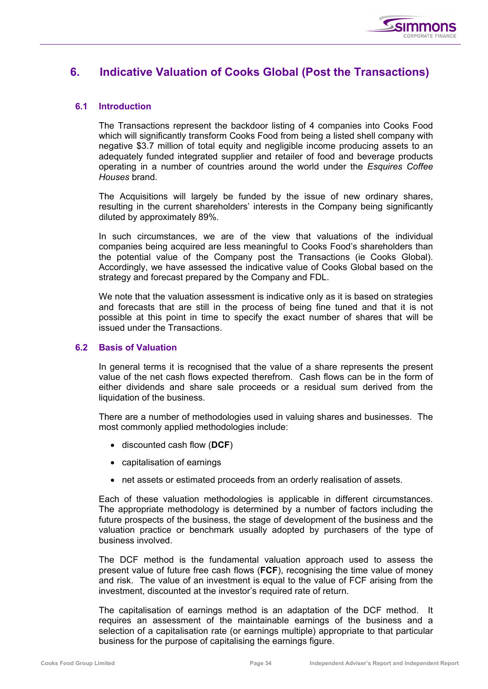

## **6. Indicative Valuation of Cooks Global (Post the Transactions)**

## **6.1 Introduction**

The Transactions represent the backdoor listing of 4 companies into Cooks Food which will significantly transform Cooks Food from being a listed shell company with negative \$3.7 million of total equity and negligible income producing assets to an adequately funded integrated supplier and retailer of food and beverage products operating in a number of countries around the world under the *Esquires Coffee Houses* brand.

The Acquisitions will largely be funded by the issue of new ordinary shares, resulting in the current shareholders' interests in the Company being significantly diluted by approximately 89%.

In such circumstances, we are of the view that valuations of the individual companies being acquired are less meaningful to Cooks Food's shareholders than the potential value of the Company post the Transactions (ie Cooks Global). Accordingly, we have assessed the indicative value of Cooks Global based on the strategy and forecast prepared by the Company and FDL.

We note that the valuation assessment is indicative only as it is based on strategies and forecasts that are still in the process of being fine tuned and that it is not possible at this point in time to specify the exact number of shares that will be issued under the Transactions.

## **6.2 Basis of Valuation**

In general terms it is recognised that the value of a share represents the present value of the net cash flows expected therefrom. Cash flows can be in the form of either dividends and share sale proceeds or a residual sum derived from the liquidation of the business.

There are a number of methodologies used in valuing shares and businesses. The most commonly applied methodologies include:

- discounted cash flow (**DCF**)
- capitalisation of earnings
- net assets or estimated proceeds from an orderly realisation of assets.

Each of these valuation methodologies is applicable in different circumstances. The appropriate methodology is determined by a number of factors including the future prospects of the business, the stage of development of the business and the valuation practice or benchmark usually adopted by purchasers of the type of business involved.

The DCF method is the fundamental valuation approach used to assess the present value of future free cash flows (**FCF**), recognising the time value of money and risk. The value of an investment is equal to the value of FCF arising from the investment, discounted at the investor's required rate of return.

The capitalisation of earnings method is an adaptation of the DCF method. It requires an assessment of the maintainable earnings of the business and a selection of a capitalisation rate (or earnings multiple) appropriate to that particular business for the purpose of capitalising the earnings figure.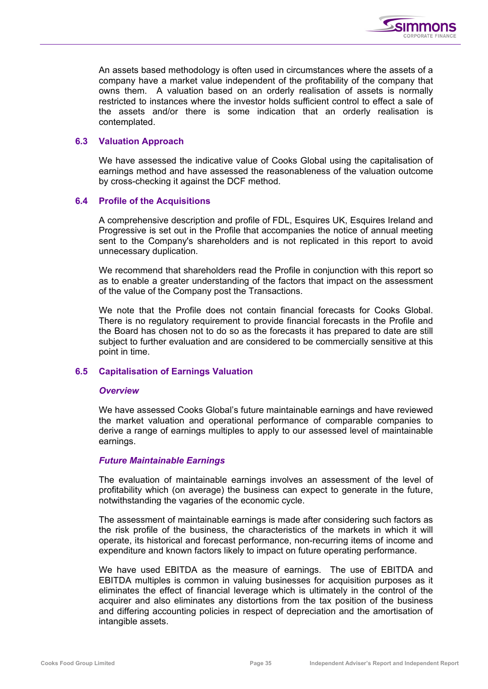

An assets based methodology is often used in circumstances where the assets of a company have a market value independent of the profitability of the company that owns them. A valuation based on an orderly realisation of assets is normally restricted to instances where the investor holds sufficient control to effect a sale of the assets and/or there is some indication that an orderly realisation is contemplated.

## **6.3 Valuation Approach**

We have assessed the indicative value of Cooks Global using the capitalisation of earnings method and have assessed the reasonableness of the valuation outcome by cross-checking it against the DCF method.

## **6.4 Profile of the Acquisitions**

A comprehensive description and profile of FDL, Esquires UK, Esquires Ireland and Progressive is set out in the Profile that accompanies the notice of annual meeting sent to the Company's shareholders and is not replicated in this report to avoid unnecessary duplication.

We recommend that shareholders read the Profile in conjunction with this report so as to enable a greater understanding of the factors that impact on the assessment of the value of the Company post the Transactions.

We note that the Profile does not contain financial forecasts for Cooks Global. There is no regulatory requirement to provide financial forecasts in the Profile and the Board has chosen not to do so as the forecasts it has prepared to date are still subject to further evaluation and are considered to be commercially sensitive at this point in time.

## **6.5 Capitalisation of Earnings Valuation**

## *Overview*

We have assessed Cooks Global's future maintainable earnings and have reviewed the market valuation and operational performance of comparable companies to derive a range of earnings multiples to apply to our assessed level of maintainable earnings.

## *Future Maintainable Earnings*

The evaluation of maintainable earnings involves an assessment of the level of profitability which (on average) the business can expect to generate in the future, notwithstanding the vagaries of the economic cycle.

The assessment of maintainable earnings is made after considering such factors as the risk profile of the business, the characteristics of the markets in which it will operate, its historical and forecast performance, non-recurring items of income and expenditure and known factors likely to impact on future operating performance.

We have used EBITDA as the measure of earnings. The use of EBITDA and EBITDA multiples is common in valuing businesses for acquisition purposes as it eliminates the effect of financial leverage which is ultimately in the control of the acquirer and also eliminates any distortions from the tax position of the business and differing accounting policies in respect of depreciation and the amortisation of intangible assets.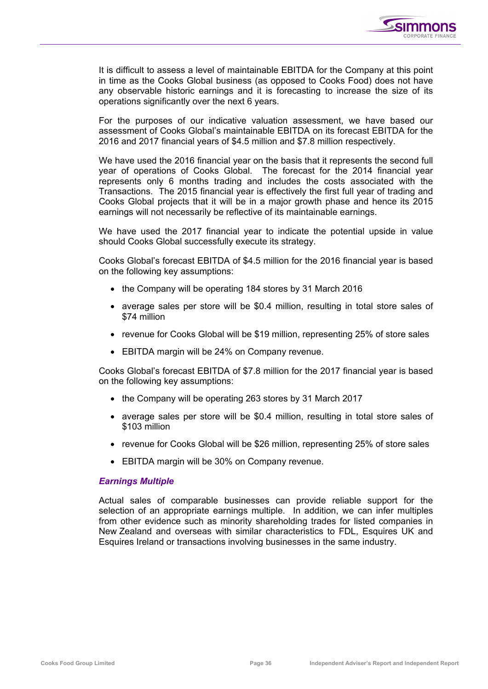

It is difficult to assess a level of maintainable EBITDA for the Company at this point in time as the Cooks Global business (as opposed to Cooks Food) does not have any observable historic earnings and it is forecasting to increase the size of its operations significantly over the next 6 years.

For the purposes of our indicative valuation assessment, we have based our assessment of Cooks Global's maintainable EBITDA on its forecast EBITDA for the 2016 and 2017 financial years of \$4.5 million and \$7.8 million respectively.

We have used the 2016 financial year on the basis that it represents the second full year of operations of Cooks Global. The forecast for the 2014 financial year represents only 6 months trading and includes the costs associated with the Transactions. The 2015 financial year is effectively the first full year of trading and Cooks Global projects that it will be in a major growth phase and hence its 2015 earnings will not necessarily be reflective of its maintainable earnings.

We have used the 2017 financial year to indicate the potential upside in value should Cooks Global successfully execute its strategy.

Cooks Global's forecast EBITDA of \$4.5 million for the 2016 financial year is based on the following key assumptions:

- the Company will be operating 184 stores by 31 March 2016
- average sales per store will be \$0.4 million, resulting in total store sales of \$74 million
- revenue for Cooks Global will be \$19 million, representing 25% of store sales
- EBITDA margin will be 24% on Company revenue.

Cooks Global's forecast EBITDA of \$7.8 million for the 2017 financial year is based on the following key assumptions:

- the Company will be operating 263 stores by 31 March 2017
- average sales per store will be \$0.4 million, resulting in total store sales of \$103 million
- revenue for Cooks Global will be \$26 million, representing 25% of store sales
- EBITDA margin will be 30% on Company revenue.

## *Earnings Multiple*

Actual sales of comparable businesses can provide reliable support for the selection of an appropriate earnings multiple. In addition, we can infer multiples from other evidence such as minority shareholding trades for listed companies in New Zealand and overseas with similar characteristics to FDL, Esquires UK and Esquires Ireland or transactions involving businesses in the same industry.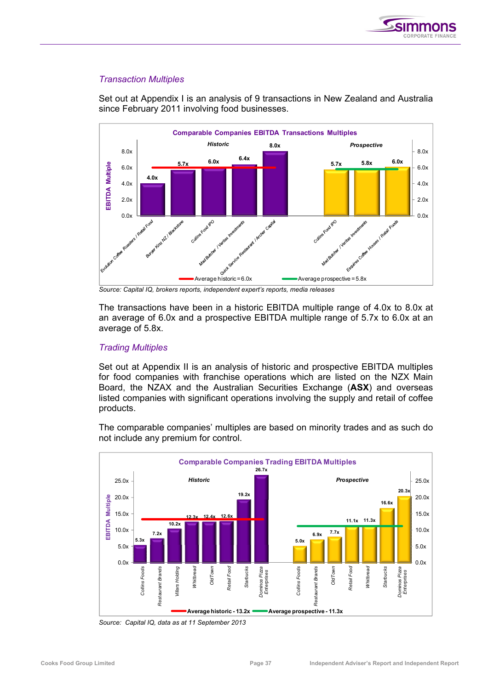

## *Transaction Multiples*

Set out at Appendix I is an analysis of 9 transactions in New Zealand and Australia since February 2011 involving food businesses.



*Source: Capital IQ, brokers reports, independent expert's reports, media releases* 

The transactions have been in a historic EBITDA multiple range of 4.0x to 8.0x at an average of 6.0x and a prospective EBITDA multiple range of 5.7x to 6.0x at an average of 5.8x.

## *Trading Multiples*

Set out at Appendix II is an analysis of historic and prospective EBITDA multiples for food companies with franchise operations which are listed on the NZX Main Board, the NZAX and the Australian Securities Exchange (**ASX**) and overseas listed companies with significant operations involving the supply and retail of coffee products.

The comparable companies' multiples are based on minority trades and as such do not include any premium for control.



*Source: Capital IQ, data as at 11 September 2013*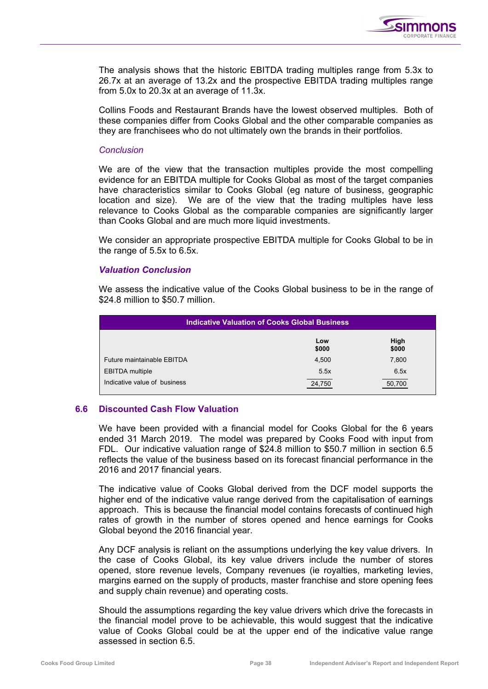

The analysis shows that the historic EBITDA trading multiples range from 5.3x to 26.7x at an average of 13.2x and the prospective EBITDA trading multiples range from 5.0x to 20.3x at an average of 11.3x.

Collins Foods and Restaurant Brands have the lowest observed multiples. Both of these companies differ from Cooks Global and the other comparable companies as they are franchisees who do not ultimately own the brands in their portfolios.

#### *Conclusion*

We are of the view that the transaction multiples provide the most compelling evidence for an EBITDA multiple for Cooks Global as most of the target companies have characteristics similar to Cooks Global (eg nature of business, geographic location and size). We are of the view that the trading multiples have less relevance to Cooks Global as the comparable companies are significantly larger than Cooks Global and are much more liquid investments.

We consider an appropriate prospective EBITDA multiple for Cooks Global to be in the range of 5.5x to 6.5x.

## *Valuation Conclusion*

We assess the indicative value of the Cooks Global business to be in the range of \$24.8 million to \$50.7 million.

| <b>Indicative Valuation of Cooks Global Business</b> |              |               |  |  |  |
|------------------------------------------------------|--------------|---------------|--|--|--|
|                                                      | Low<br>\$000 | High<br>\$000 |  |  |  |
| Future maintainable EBITDA                           | 4,500        | 7,800         |  |  |  |
| <b>EBITDA</b> multiple                               | 5.5x         | 6.5x          |  |  |  |
| Indicative value of business                         | 24,750       | 50,700        |  |  |  |

## **6.6 Discounted Cash Flow Valuation**

We have been provided with a financial model for Cooks Global for the 6 years ended 31 March 2019. The model was prepared by Cooks Food with input from FDL. Our indicative valuation range of \$24.8 million to \$50.7 million in section 6.5 reflects the value of the business based on its forecast financial performance in the 2016 and 2017 financial years.

The indicative value of Cooks Global derived from the DCF model supports the higher end of the indicative value range derived from the capitalisation of earnings approach. This is because the financial model contains forecasts of continued high rates of growth in the number of stores opened and hence earnings for Cooks Global beyond the 2016 financial year.

Any DCF analysis is reliant on the assumptions underlying the key value drivers. In the case of Cooks Global, its key value drivers include the number of stores opened, store revenue levels, Company revenues (ie royalties, marketing levies, margins earned on the supply of products, master franchise and store opening fees and supply chain revenue) and operating costs.

Should the assumptions regarding the key value drivers which drive the forecasts in the financial model prove to be achievable, this would suggest that the indicative value of Cooks Global could be at the upper end of the indicative value range assessed in section 6.5.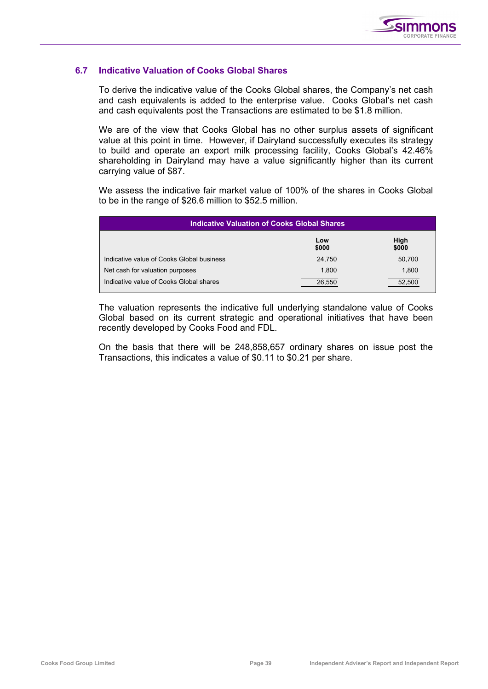

## **6.7 Indicative Valuation of Cooks Global Shares**

To derive the indicative value of the Cooks Global shares, the Company's net cash and cash equivalents is added to the enterprise value. Cooks Global's net cash and cash equivalents post the Transactions are estimated to be \$1.8 million.

We are of the view that Cooks Global has no other surplus assets of significant value at this point in time. However, if Dairyland successfully executes its strategy to build and operate an export milk processing facility, Cooks Global's 42.46% shareholding in Dairyland may have a value significantly higher than its current carrying value of \$87.

We assess the indicative fair market value of 100% of the shares in Cooks Global to be in the range of \$26.6 million to \$52.5 million.

| <b>Indicative Valuation of Cooks Global Shares</b> |              |               |  |  |  |
|----------------------------------------------------|--------------|---------------|--|--|--|
|                                                    | Low<br>\$000 | High<br>\$000 |  |  |  |
| Indicative value of Cooks Global business          | 24,750       | 50,700        |  |  |  |
| Net cash for valuation purposes                    | 1.800        | 1,800         |  |  |  |
| Indicative value of Cooks Global shares            | 26.550       | 52.500        |  |  |  |

The valuation represents the indicative full underlying standalone value of Cooks Global based on its current strategic and operational initiatives that have been recently developed by Cooks Food and FDL.

On the basis that there will be 248,858,657 ordinary shares on issue post the Transactions, this indicates a value of \$0.11 to \$0.21 per share.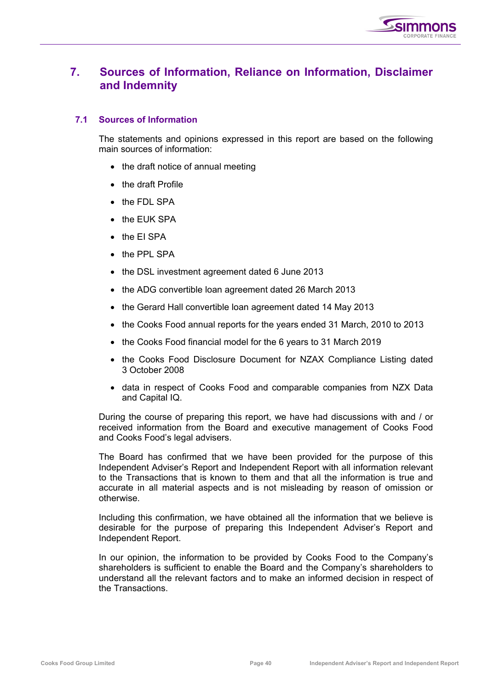

## **7. Sources of Information, Reliance on Information, Disclaimer and Indemnity**

## **7.1 Sources of Information**

The statements and opinions expressed in this report are based on the following main sources of information:

- the draft notice of annual meeting
- the draft Profile
- the FDL SPA
- the EUK SPA
- the EI SPA
- the PPL SPA
- the DSL investment agreement dated 6 June 2013
- the ADG convertible loan agreement dated 26 March 2013
- the Gerard Hall convertible loan agreement dated 14 May 2013
- the Cooks Food annual reports for the years ended 31 March, 2010 to 2013
- the Cooks Food financial model for the 6 years to 31 March 2019
- the Cooks Food Disclosure Document for NZAX Compliance Listing dated 3 October 2008
- data in respect of Cooks Food and comparable companies from NZX Data and Capital IQ.

During the course of preparing this report, we have had discussions with and / or received information from the Board and executive management of Cooks Food and Cooks Food's legal advisers.

The Board has confirmed that we have been provided for the purpose of this Independent Adviser's Report and Independent Report with all information relevant to the Transactions that is known to them and that all the information is true and accurate in all material aspects and is not misleading by reason of omission or otherwise.

Including this confirmation, we have obtained all the information that we believe is desirable for the purpose of preparing this Independent Adviser's Report and Independent Report.

In our opinion, the information to be provided by Cooks Food to the Company's shareholders is sufficient to enable the Board and the Company's shareholders to understand all the relevant factors and to make an informed decision in respect of the Transactions.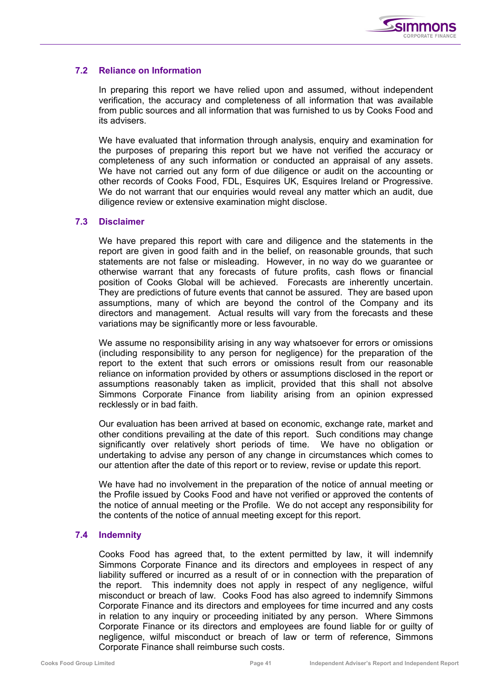

## **7.2 Reliance on Information**

In preparing this report we have relied upon and assumed, without independent verification, the accuracy and completeness of all information that was available from public sources and all information that was furnished to us by Cooks Food and its advisers.

We have evaluated that information through analysis, enquiry and examination for the purposes of preparing this report but we have not verified the accuracy or completeness of any such information or conducted an appraisal of any assets. We have not carried out any form of due diligence or audit on the accounting or other records of Cooks Food, FDL, Esquires UK, Esquires Ireland or Progressive. We do not warrant that our enquiries would reveal any matter which an audit, due diligence review or extensive examination might disclose.

## **7.3 Disclaimer**

We have prepared this report with care and diligence and the statements in the report are given in good faith and in the belief, on reasonable grounds, that such statements are not false or misleading. However, in no way do we guarantee or otherwise warrant that any forecasts of future profits, cash flows or financial position of Cooks Global will be achieved. Forecasts are inherently uncertain. They are predictions of future events that cannot be assured. They are based upon assumptions, many of which are beyond the control of the Company and its directors and management. Actual results will vary from the forecasts and these variations may be significantly more or less favourable.

We assume no responsibility arising in any way whatsoever for errors or omissions (including responsibility to any person for negligence) for the preparation of the report to the extent that such errors or omissions result from our reasonable reliance on information provided by others or assumptions disclosed in the report or assumptions reasonably taken as implicit, provided that this shall not absolve Simmons Corporate Finance from liability arising from an opinion expressed recklessly or in bad faith.

Our evaluation has been arrived at based on economic, exchange rate, market and other conditions prevailing at the date of this report. Such conditions may change significantly over relatively short periods of time. We have no obligation or undertaking to advise any person of any change in circumstances which comes to our attention after the date of this report or to review, revise or update this report.

We have had no involvement in the preparation of the notice of annual meeting or the Profile issued by Cooks Food and have not verified or approved the contents of the notice of annual meeting or the Profile. We do not accept any responsibility for the contents of the notice of annual meeting except for this report.

## **7.4 Indemnity**

Cooks Food has agreed that, to the extent permitted by law, it will indemnify Simmons Corporate Finance and its directors and employees in respect of any liability suffered or incurred as a result of or in connection with the preparation of the report. This indemnity does not apply in respect of any negligence, wilful misconduct or breach of law. Cooks Food has also agreed to indemnify Simmons Corporate Finance and its directors and employees for time incurred and any costs in relation to any inquiry or proceeding initiated by any person. Where Simmons Corporate Finance or its directors and employees are found liable for or guilty of negligence, wilful misconduct or breach of law or term of reference, Simmons Corporate Finance shall reimburse such costs.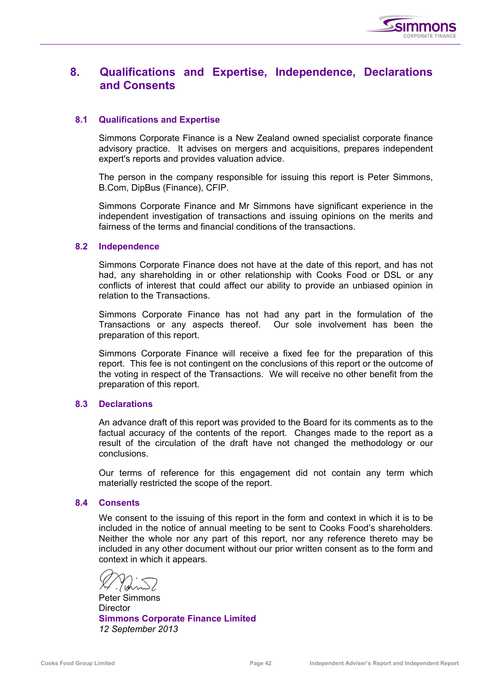

## **8. Qualifications and Expertise, Independence, Declarations and Consents**

## **8.1 Qualifications and Expertise**

Simmons Corporate Finance is a New Zealand owned specialist corporate finance advisory practice. It advises on mergers and acquisitions, prepares independent expert's reports and provides valuation advice.

The person in the company responsible for issuing this report is Peter Simmons, B.Com, DipBus (Finance), CFIP.

Simmons Corporate Finance and Mr Simmons have significant experience in the independent investigation of transactions and issuing opinions on the merits and fairness of the terms and financial conditions of the transactions.

## **8.2 Independence**

Simmons Corporate Finance does not have at the date of this report, and has not had, any shareholding in or other relationship with Cooks Food or DSL or any conflicts of interest that could affect our ability to provide an unbiased opinion in relation to the Transactions.

Simmons Corporate Finance has not had any part in the formulation of the Transactions or any aspects thereof. Our sole involvement has been the preparation of this report.

Simmons Corporate Finance will receive a fixed fee for the preparation of this report. This fee is not contingent on the conclusions of this report or the outcome of the voting in respect of the Transactions. We will receive no other benefit from the preparation of this report.

## **8.3 Declarations**

An advance draft of this report was provided to the Board for its comments as to the factual accuracy of the contents of the report. Changes made to the report as a result of the circulation of the draft have not changed the methodology or our conclusions.

Our terms of reference for this engagement did not contain any term which materially restricted the scope of the report.

## **8.4 Consents**

We consent to the issuing of this report in the form and context in which it is to be included in the notice of annual meeting to be sent to Cooks Food's shareholders. Neither the whole nor any part of this report, nor any reference thereto may be included in any other document without our prior written consent as to the form and context in which it appears.

Peter Simmons **Director Simmons Corporate Finance Limited**  *12 September 2013*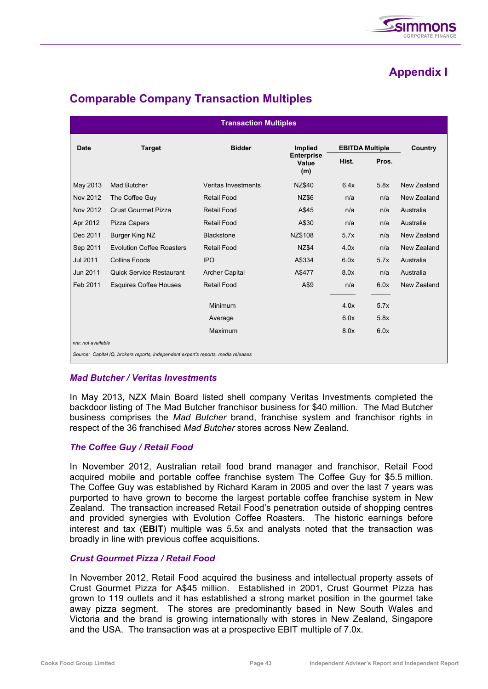

# **Appendix I**

| <b>Transaction Multiples</b>                                                      |                                                          |                     |                                   |                        |       |             |
|-----------------------------------------------------------------------------------|----------------------------------------------------------|---------------------|-----------------------------------|------------------------|-------|-------------|
| <b>Date</b>                                                                       | <b>Target</b>                                            | <b>Bidder</b>       | <b>Implied</b>                    | <b>EBITDA Multiple</b> |       | Country     |
|                                                                                   |                                                          |                     | <b>Enterprise</b><br>Value<br>(m) | Hist.                  | Pros. |             |
| May 2013                                                                          | Mad Butcher                                              | Veritas Investments | NZ\$40                            | 6.4x                   | 5.8x  | New Zealand |
| Nov 2012                                                                          | The Coffee Guy                                           | <b>Retail Food</b>  | <b>NZ\$6</b>                      | n/a                    | n/a   | New Zealand |
| Nov 2012                                                                          | <b>Crust Gourmet Pizza</b><br><b>Retail Food</b>         |                     | A\$45                             | n/a                    | n/a   | Australia   |
| Apr 2012                                                                          | Pizza Capers<br><b>Retail Food</b>                       |                     | A\$30                             | n/a                    | n/a   | Australia   |
| Dec 2011                                                                          | <b>Burger King NZ</b><br><b>Blackstone</b>               |                     | NZ\$108                           | 5.7x                   | n/a   | New Zealand |
| Sep 2011                                                                          | <b>Evolution Coffee Roasters</b>                         | <b>Retail Food</b>  |                                   | 4.0x                   | n/a   | New Zealand |
| Jul 2011                                                                          | <b>Collins Foods</b>                                     | <b>IPO</b>          | A\$334                            | 6.0x                   | 5.7x  | Australia   |
| Jun 2011                                                                          | <b>Quick Service Restaurant</b><br><b>Archer Capital</b> |                     | A\$477                            | 8.0x                   | n/a   | Australia   |
| Feb 2011                                                                          | <b>Esquires Coffee Houses</b>                            | <b>Retail Food</b>  | A\$9                              | n/a                    | 6.0x  | New Zealand |
|                                                                                   |                                                          | Minimum             |                                   | 4.0x                   | 5.7x  |             |
|                                                                                   |                                                          | Average             |                                   | 6.0x                   | 5.8x  |             |
|                                                                                   |                                                          | Maximum             |                                   | 8.0x                   | 6.0x  |             |
| n/a: not available                                                                |                                                          |                     |                                   |                        |       |             |
| Source: Capital IQ, brokers reports, independent expert's reports, media releases |                                                          |                     |                                   |                        |       |             |

# **Comparable Company Transaction Multiples**

## *Mad Butcher / Veritas Investments*

In May 2013, NZX Main Board listed shell company Veritas Investments completed the backdoor listing of The Mad Butcher franchisor business for \$40 million. The Mad Butcher business comprises the *Mad Butcher* brand, franchise system and franchisor rights in respect of the 36 franchised *Mad Butcher* stores across New Zealand.

## *The Coffee Guy / Retail Food*

In November 2012, Australian retail food brand manager and franchisor, Retail Food acquired mobile and portable coffee franchise system The Coffee Guy for \$5.5 million. The Coffee Guy was established by Richard Karam in 2005 and over the last 7 years was purported to have grown to become the largest portable coffee franchise system in New Zealand. The transaction increased Retail Food's penetration outside of shopping centres and provided synergies with Evolution Coffee Roasters. The historic earnings before interest and tax (**EBIT**) multiple was 5.5x and analysts noted that the transaction was broadly in line with previous coffee acquisitions.

## *Crust Gourmet Pizza / Retail Food*

In November 2012, Retail Food acquired the business and intellectual property assets of Crust Gourmet Pizza for A\$45 million. Established in 2001, Crust Gourmet Pizza has grown to 119 outlets and it has established a strong market position in the gourmet take away pizza segment. The stores are predominantly based in New South Wales and Victoria and the brand is growing internationally with stores in New Zealand, Singapore and the USA. The transaction was at a prospective EBIT multiple of 7.0x.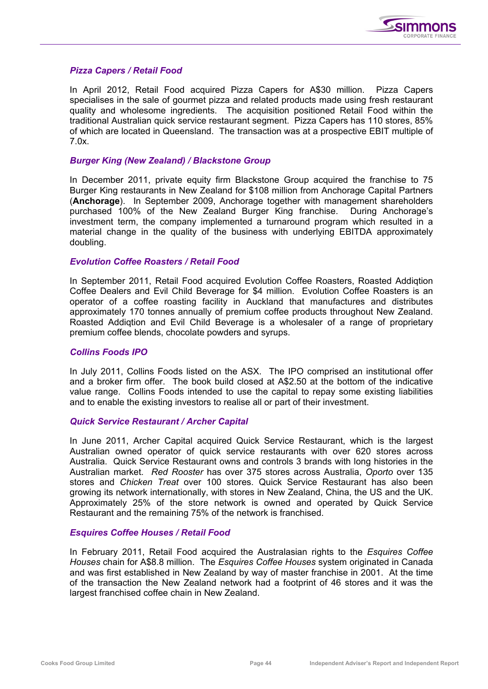

## *Pizza Capers / Retail Food*

In April 2012, Retail Food acquired Pizza Capers for A\$30 million. Pizza Capers specialises in the sale of gourmet pizza and related products made using fresh restaurant quality and wholesome ingredients. The acquisition positioned Retail Food within the traditional Australian quick service restaurant segment. Pizza Capers has 110 stores, 85% of which are located in Queensland. The transaction was at a prospective EBIT multiple of 7.0x.

## *Burger King (New Zealand) / Blackstone Group*

In December 2011, private equity firm Blackstone Group acquired the franchise to 75 Burger King restaurants in New Zealand for \$108 million from Anchorage Capital Partners (**Anchorage**). In September 2009, Anchorage together with management shareholders purchased 100% of the New Zealand Burger King franchise. During Anchorage's investment term, the company implemented a turnaround program which resulted in a material change in the quality of the business with underlying EBITDA approximately doubling.

#### *Evolution Coffee Roasters / Retail Food*

In September 2011, Retail Food acquired Evolution Coffee Roasters, Roasted Addiqtion Coffee Dealers and Evil Child Beverage for \$4 million. Evolution Coffee Roasters is an operator of a coffee roasting facility in Auckland that manufactures and distributes approximately 170 tonnes annually of premium coffee products throughout New Zealand. Roasted Addiqtion and Evil Child Beverage is a wholesaler of a range of proprietary premium coffee blends, chocolate powders and syrups.

## *Collins Foods IPO*

In July 2011, Collins Foods listed on the ASX. The IPO comprised an institutional offer and a broker firm offer. The book build closed at A\$2.50 at the bottom of the indicative value range. Collins Foods intended to use the capital to repay some existing liabilities and to enable the existing investors to realise all or part of their investment.

## *Quick Service Restaurant / Archer Capital*

In June 2011, Archer Capital acquired Quick Service Restaurant, which is the largest Australian owned operator of quick service restaurants with over 620 stores across Australia. Quick Service Restaurant owns and controls 3 brands with long histories in the Australian market. *Red Rooster* has over 375 stores across Australia, *Oporto* over 135 stores and *Chicken Treat* over 100 stores. Quick Service Restaurant has also been growing its network internationally, with stores in New Zealand, China, the US and the UK. Approximately 25% of the store network is owned and operated by Quick Service Restaurant and the remaining 75% of the network is franchised.

## *Esquires Coffee Houses / Retail Food*

In February 2011, Retail Food acquired the Australasian rights to the *Esquires Coffee Houses* chain for A\$8.8 million. The *Esquires Coffee Houses* system originated in Canada and was first established in New Zealand by way of master franchise in 2001. At the time of the transaction the New Zealand network had a footprint of 46 stores and it was the largest franchised coffee chain in New Zealand.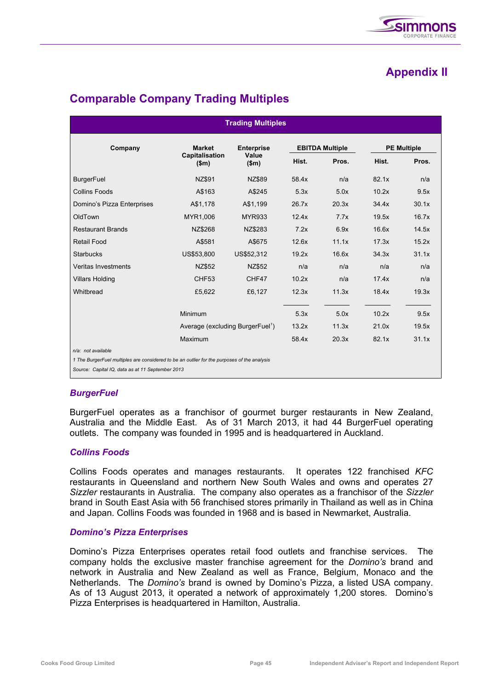# **Appendix II**

| <b>Trading Multiples</b>                                                                                             |                                              |                                     |                        |       |                    |       |
|----------------------------------------------------------------------------------------------------------------------|----------------------------------------------|-------------------------------------|------------------------|-------|--------------------|-------|
| Company                                                                                                              | <b>Market</b><br>Capitalisation<br>\$m\$     | <b>Enterprise</b><br>Value<br>\$m\$ | <b>EBITDA Multiple</b> |       | <b>PE Multiple</b> |       |
|                                                                                                                      |                                              |                                     | Hist.                  | Pros. | Hist.              | Pros. |
| <b>BurgerFuel</b>                                                                                                    | <b>NZ\$91</b>                                | <b>NZ\$89</b>                       | 58.4x                  | n/a   | 82.1x              | n/a   |
| <b>Collins Foods</b>                                                                                                 | A\$163                                       | A\$245                              | 5.3x                   | 5.0x  | 10.2x              | 9.5x  |
| Domino's Pizza Enterprises                                                                                           | A\$1,178                                     | A\$1,199                            | 26.7x                  | 20.3x | 34.4x              | 30.1x |
| OldTown                                                                                                              | MYR1,006                                     | <b>MYR933</b>                       | 12.4x                  | 7.7x  | 19.5x              | 16.7x |
| <b>Restaurant Brands</b>                                                                                             | NZ\$268                                      | NZ\$283                             | 7.2x                   | 6.9x  | 16.6x              | 14.5x |
| Retail Food                                                                                                          | A\$581                                       | A\$675                              | 12.6x                  | 11.1x | 17.3x              | 15.2x |
| <b>Starbucks</b>                                                                                                     | US\$53,800                                   | US\$52,312                          | 19.2x                  | 16.6x | 34.3x              | 31.1x |
| Veritas Investments                                                                                                  | NZ\$52                                       | <b>NZ\$52</b>                       | n/a                    | n/a   | n/a                | n/a   |
| <b>Villars Holding</b>                                                                                               | CHF <sub>53</sub>                            | CHF47                               | 10.2x                  | n/a   | 17.4x              | n/a   |
| Whitbread                                                                                                            | £5,622                                       | £6,127                              | 12.3x                  | 11.3x | 18.4x              | 19.3x |
|                                                                                                                      | <b>Minimum</b>                               |                                     | 5.3x                   | 5.0x  | 10.2x              | 9.5x  |
|                                                                                                                      | Average (excluding BurgerFuel <sup>7</sup> ) |                                     | 13.2x                  | 11.3x | 21.0x              | 19.5x |
| Maximum                                                                                                              |                                              | 58.4x                               | 20.3x                  | 82.1x | 31.1x              |       |
| $n/a$ : not available<br>1 The BurgerFuel multiples are considered to be an outlier for the purposes of the analysis |                                              |                                     |                        |       |                    |       |

# **Comparable Company Trading Multiples**

*Source: Capital IQ, data as at 11 September 2013* 

## *BurgerFuel*

BurgerFuel operates as a franchisor of gourmet burger restaurants in New Zealand, Australia and the Middle East. As of 31 March 2013, it had 44 BurgerFuel operating outlets. The company was founded in 1995 and is headquartered in Auckland.

## *Collins Foods*

Collins Foods operates and manages restaurants. It operates 122 franchised *KFC*  restaurants in Queensland and northern New South Wales and owns and operates 27 *Sizzler* restaurants in Australia. The company also operates as a franchisor of the *Sizzler*  brand in South East Asia with 56 franchised stores primarily in Thailand as well as in China and Japan. Collins Foods was founded in 1968 and is based in Newmarket, Australia.

## *Domino's Pizza Enterprises*

Domino's Pizza Enterprises operates retail food outlets and franchise services. The company holds the exclusive master franchise agreement for the *Domino's* brand and network in Australia and New Zealand as well as France, Belgium, Monaco and the Netherlands. The *Domino's* brand is owned by Domino's Pizza, a listed USA company. As of 13 August 2013, it operated a network of approximately 1,200 stores. Domino's Pizza Enterprises is headquartered in Hamilton, Australia.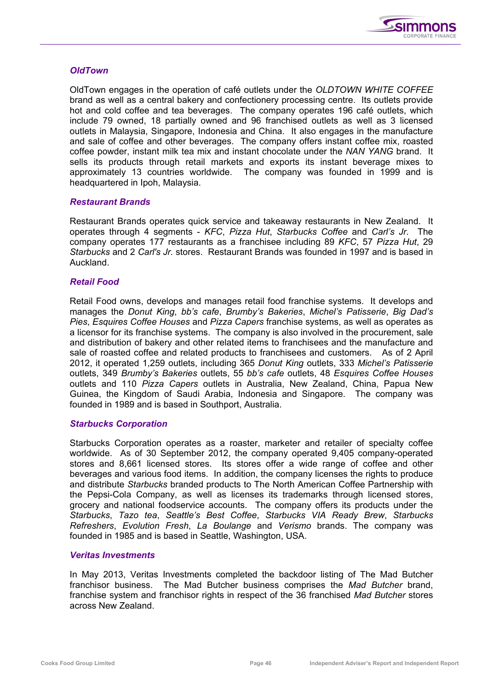

#### *OldTown*

OldTown engages in the operation of café outlets under the *OLDTOWN WHITE COFFEE* brand as well as a central bakery and confectionery processing centre. Its outlets provide hot and cold coffee and tea beverages. The company operates 196 café outlets, which include 79 owned, 18 partially owned and 96 franchised outlets as well as 3 licensed outlets in Malaysia, Singapore, Indonesia and China. It also engages in the manufacture and sale of coffee and other beverages. The company offers instant coffee mix, roasted coffee powder, instant milk tea mix and instant chocolate under the *NAN YANG* brand. It sells its products through retail markets and exports its instant beverage mixes to approximately 13 countries worldwide. The company was founded in 1999 and is headquartered in Ipoh, Malaysia.

#### *Restaurant Brands*

Restaurant Brands operates quick service and takeaway restaurants in New Zealand. It operates through 4 segments - *KFC*, *Pizza Hut*, *Starbucks Coffee* and *Carl's Jr*. The company operates 177 restaurants as a franchisee including 89 *KFC*, 57 *Pizza Hut*, 29 *Starbucks* and 2 *Carl's Jr.* stores. Restaurant Brands was founded in 1997 and is based in Auckland.

## *Retail Food*

Retail Food owns, develops and manages retail food franchise systems. It develops and manages the *Donut King*, *bb's cafe*, *Brumby's Bakeries*, *Michel's Patisserie*, *Big Dad's Pies*, *Esquires Coffee Houses* and *Pizza Capers* franchise systems, as well as operates as a licensor for its franchise systems. The company is also involved in the procurement, sale and distribution of bakery and other related items to franchisees and the manufacture and sale of roasted coffee and related products to franchisees and customers. As of 2 April 2012, it operated 1,259 outlets, including 365 *Donut King* outlets, 333 *Michel's Patisserie* outlets, 349 *Brumby's Bakeries* outlets, 55 *bb's cafe* outlets, 48 *Esquires Coffee Houses* outlets and 110 *Pizza Capers* outlets in Australia, New Zealand, China, Papua New Guinea, the Kingdom of Saudi Arabia, Indonesia and Singapore. The company was founded in 1989 and is based in Southport, Australia.

## *Starbucks Corporation*

Starbucks Corporation operates as a roaster, marketer and retailer of specialty coffee worldwide. As of 30 September 2012, the company operated 9,405 company-operated stores and 8,661 licensed stores. Its stores offer a wide range of coffee and other beverages and various food items. In addition, the company licenses the rights to produce and distribute *Starbucks* branded products to The North American Coffee Partnership with the Pepsi-Cola Company, as well as licenses its trademarks through licensed stores, grocery and national foodservice accounts. The company offers its products under the *Starbucks*, *Tazo tea*, *Seattle's Best Coffee*, *Starbucks VIA Ready Brew*, *Starbucks Refreshers*, *Evolution Fresh*, *La Boulange* and *Verismo* brands. The company was founded in 1985 and is based in Seattle, Washington, USA.

## *Veritas Investments*

In May 2013, Veritas Investments completed the backdoor listing of The Mad Butcher franchisor business. The Mad Butcher business comprises the *Mad Butcher* brand, franchise system and franchisor rights in respect of the 36 franchised *Mad Butcher* stores across New Zealand.